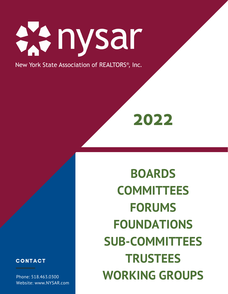

Phone: 518.463.0300 Website: www.NYSAR.com

**BOARDS COMMITTEES FORUMS FOUNDATIONS SUB-COMMITTEES TRUSTEES WORKING GROUPS**



New York State Association of REALTORS®, Inc.

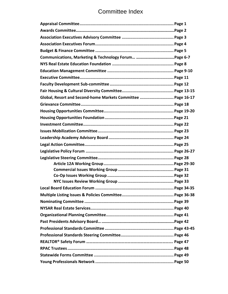# Committee Index

| Global, Resort and Second-home Markets Committee  Page 16-17 |
|--------------------------------------------------------------|
|                                                              |
|                                                              |
|                                                              |
|                                                              |
|                                                              |
|                                                              |
|                                                              |
|                                                              |
|                                                              |
|                                                              |
|                                                              |
|                                                              |
|                                                              |
|                                                              |
|                                                              |
|                                                              |
|                                                              |
|                                                              |
|                                                              |
|                                                              |
|                                                              |
|                                                              |
|                                                              |
|                                                              |
|                                                              |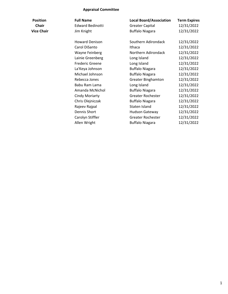### **Appraisal Committee**

| Position     | <b>Full Name</b>        | <b>Local Board/Association</b> | <b>Term Expires</b> |
|--------------|-------------------------|--------------------------------|---------------------|
| <b>Chair</b> | <b>Edward Bedinotti</b> | <b>Greater Capital</b>         | 12/31/2022          |
| lice Chair   | Jim Knight              | <b>Buffalo Niagara</b>         | 12/31/2022          |
|              | Howard Denison          | Southern Adirondack            | 12/31/2022          |
|              | Carol DiSanto           | Ithaca                         | 12/31/2022          |
|              | Wayne Feinberg          | Northern Adirondack            | 12/31/2022          |
|              | Lainie Greenberg        | Long Island                    | 12/31/2022          |
|              | <b>Frederic Greene</b>  | Long Island                    | 12/31/2022          |
|              | La'Keya Johnson         | <b>Buffalo Niagara</b>         | 12/31/2022          |
|              | Michael Johnson         | <b>Buffalo Niagara</b>         | 12/31/2022          |
|              | Rebecca Jones           | <b>Greater Binghamton</b>      | 12/31/2022          |
|              | Babu Ram Lama           | Long Island                    | 12/31/2022          |
|              | Amanda McNichol         | <b>Buffalo Niagara</b>         | 12/31/2022          |
|              | Cindy Moriarty          | Greater Rochester              | 12/31/2022          |
|              | Chris Olejniczak        | <b>Buffalo Niagara</b>         | 12/31/2022          |
|              | Rajeev Rajpal           | Staten Island                  | 12/31/2022          |
|              | Dennis Short            | Hudson Gateway                 | 12/31/2022          |
|              | Carolyn Stiffler        | <b>Greater Rochester</b>       | 12/31/2022          |
|              | Allen Wright            | <b>Buffalo Niagara</b>         | 12/31/2022          |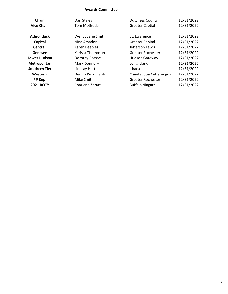#### **Awards Committee**

| <b>Chair</b>         | Dan Staley        | <b>Dutchess County</b>   | 12/31/2022 |
|----------------------|-------------------|--------------------------|------------|
| <b>Vice Chair</b>    | Tom McGroder      | <b>Greater Captial</b>   | 12/31/2022 |
| <b>Adirondack</b>    | Wendy Jane Smith  | St. Lwarence             | 12/31/2022 |
| Capital              | Nina Amadon       | <b>Greater Capital</b>   | 12/31/2022 |
| Central              | Karen Peebles     | Jefferson Lewis          | 12/31/2022 |
| Genesee              | Karissa Thompson  | Greater Rochester        | 12/31/2022 |
| <b>Lower Hudson</b>  | Dorothy Botsoe    | <b>Hudson Gateway</b>    | 12/31/2022 |
| Metropolitan         | Mark Donnelly     | Long Island              | 12/31/2022 |
| <b>Southern Tier</b> | Lindsay Hart      | Ithaca                   | 12/31/2022 |
| Western              | Dennis Pezzimenti | Chautauqua Cattaraugus   | 12/31/2022 |
| <b>PP Rep</b>        | Mike Smith        | <b>Greater Rochester</b> | 12/31/2022 |
| <b>2021 ROTY</b>     | Charlene Zoratti  | <b>Buffalo Niagara</b>   | 12/31/2022 |
|                      |                   |                          |            |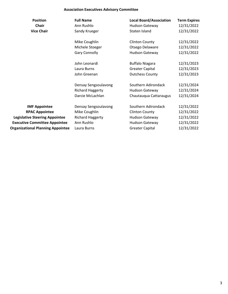### **Association Executives Advisory Committee**

| <b>Position</b>                          | <b>Full Name</b>        | <b>Local Board/Association</b> | <b>Term Expires</b> |
|------------------------------------------|-------------------------|--------------------------------|---------------------|
| <b>Chair</b>                             | Ann Rushlo              | Hudson Gateway                 | 12/31/2022          |
| <b>Vice Chair</b>                        | Sandy Krueger           | Staten Island                  | 12/31/2022          |
|                                          | Mike Coughlin           | <b>Clinton County</b>          | 12/31/2022          |
|                                          | Michele Stoeger         | Otsego Delaware                | 12/31/2022          |
|                                          | <b>Gary Connolly</b>    | Hudson Gateway                 | 12/31/2022          |
|                                          | John Leonardi           | <b>Buffalo Niagara</b>         | 12/31/2023          |
|                                          | Laura Burns             | <b>Greater Capital</b>         | 12/31/2023          |
|                                          | John Greenan            | <b>Dutchess County</b>         | 12/31/2023          |
|                                          | Densay Sengsoulavong    | Southern Adirondack            | 12/31/2024          |
|                                          | <b>Richard Haggerty</b> | <b>Hudson Gateway</b>          | 12/31/2024          |
|                                          | Darcie McLachlan        | Chautauqua Cattaraugus         | 12/31/2024          |
| <b>IMF Appointee</b>                     | Densay Sengsoulavong    | Southern Adirondack            | 12/31/2022          |
| <b>RPAC Appointee</b>                    | Mike Coughlin           | <b>Clinton County</b>          | 12/31/2022          |
| <b>Legislative Steering Appointee</b>    | <b>Richard Haggerty</b> | Hudson Gateway                 | 12/31/2022          |
| <b>Executive Committee Appointee</b>     | Ann Rushlo              | <b>Hudson Gateway</b>          | 12/31/2022          |
| <b>Organizational Planning Appointee</b> | Laura Burns             | <b>Greater Capital</b>         | 12/31/2022          |
|                                          |                         |                                |                     |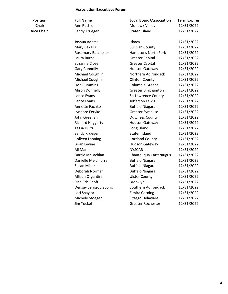#### **Association Executives Forum**

| <b>Position</b>   | <b>Full Name</b> | <b>Local Board/Association</b> | <b>Term Expires</b> |
|-------------------|------------------|--------------------------------|---------------------|
| <b>Chair</b>      | Ann Rushlo       | Mohawk Valley                  | 12/31/2022          |
| <b>Vice Chair</b> | Sandy Krueger    | Staten Island                  | 12/31/2022          |

Joshua Adams Ithaca 12/31/2022 Mary Bakalis **Mary Bakalis** Sullivan County 12/31/2022 Rosemary Batcheller Hamptons North Fork 12/31/2022 Laura Burns **Capital** Greater Capital 12/31/2022 Suzanne Close Greater Capital 12/31/2022 Gary Connolly **Hudson Gateway** 12/31/2022 Michael Coughlin Northern Adirondack 12/31/2022 Michael Coughlin Clinton County 12/31/2022 Don Cummins Columbia Greene 12/31/2022 Alison Donnelly Greater Binghamton 12/31/2022 Lance Evans St. Lawrence County 12/31/2022 Lance Evans **Interval** Lefferson Lewis 12/31/2022 Annette Fachko Buffalo Niagara 12/31/2022 Lynnore Fetyko Greater Syracuse 12/31/2022 John Greenan **Dutchess County** 12/31/2022 Richard Haggerty Hudson Gateway 12/31/2022 Tessa Hultz Long Island 12/31/2022 Sandy Krueger Staten Island 12/31/2022 Colleen Lanning Cortland County 12/31/2022 Brian Levine **Hudson Gateway** 12/31/2022 Ali Mann **NYSCAR** 12/31/2022 Darcie McLachlan Chautauqua Cattaraugus 12/31/2022 Danielle Melchiorre Buffalo Niagara 12/31/2022 Susan Miller **Buffalo Niagara** 12/31/2022 Deborah Norman Buffalo Niagara 12/31/2022 Allison Organtini Ulster County 12/31/2022 Rich Schulhoff Brooklyn Brooklyn 12/31/2022 Densay Sengsoulavong Southern Adirondack 12/31/2022 Lori Shaylor **Elmira Corning** 12/31/2022 Michele Stoeger **Otsego Delaware** 12/31/2022 Jim Yockel Greater Rochester 12/31/2022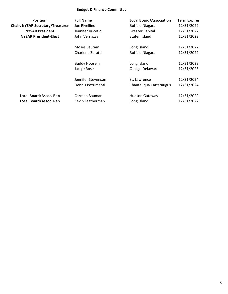### **Budget & Finance Committee**

| <b>Position</b>                         | <b>Full Name</b>     | <b>Local Board/Association</b> | <b>Term Expires</b> |
|-----------------------------------------|----------------------|--------------------------------|---------------------|
| <b>Chair, NYSAR Secretary/Treasurer</b> | Joe Rivellino        | <b>Buffalo Niagara</b>         | 12/31/2022          |
| <b>NYSAR President</b>                  | Jennifer Vucetic     | <b>Greater Capital</b>         | 12/31/2022          |
| <b>NYSAR President-Elect</b>            | John Vernazza        | Staten Island                  | 12/31/2022          |
|                                         | Moses Seuram         | Long Island                    | 12/31/2022          |
|                                         | Charlene Zoratti     | <b>Buffalo Niagara</b>         | 12/31/2022          |
|                                         | <b>Buddy Hoosein</b> | Long Island                    | 12/31/2023          |
|                                         | Jacqie Rose          | Otsego Delaware                | 12/31/2023          |
|                                         | Jennifer Stevenson   | St. Lawrence                   | 12/31/2024          |
|                                         | Dennis Pezzimenti    | Chautauqua Cattaraugus         | 12/31/2024          |
| Local Board/Assoc. Rep                  | Carmen Bauman        | <b>Hudson Gateway</b>          | 12/31/2022          |
| <b>Local Board/Assoc. Rep</b>           | Kevin Leatherman     | Long Island                    | 12/31/2022          |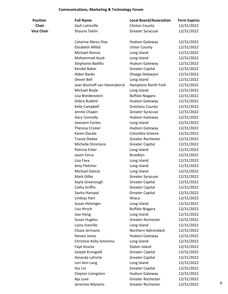### **Communications, Marketing & Technology Forum**

| <b>Position</b>   | <b>Full Name</b>             | <b>Local Board/Association</b> | <b>Term Expires</b> |   |
|-------------------|------------------------------|--------------------------------|---------------------|---|
| <b>Chair</b>      | Zach Latinville              | <b>Clinton County</b>          | 12/31/2022          |   |
| <b>Vice Chair</b> | Shauna Teelin                | <b>Greater Syracuse</b>        | 12/31/2022          |   |
|                   | Catarina Abreu Dias          | <b>Hudson Gateway</b>          | 12/31/2022          |   |
|                   | Elizabeth Alfeld             | <b>Ulster County</b>           | 12/31/2022          |   |
|                   | Michael Alonzo               | Long Island                    | 12/31/2022          |   |
|                   | Mohammad Ayub                | Long Island                    | 12/31/2022          |   |
|                   | Stephanie Badillo            | <b>Hudson Gateway</b>          | 12/31/2022          |   |
|                   | Kendal Baker                 | <b>Greater Capital</b>         | 12/31/2022          |   |
|                   | <b>Alden Banks</b>           | Otsego Delaware                | 12/31/2022          |   |
|                   | Deven Bell                   | Long Island                    | 12/31/2022          |   |
|                   | Joan Bischoff van Heemskerck | Hamptons North Fork            | 12/31/2022          |   |
|                   | Michael Boyle                | Long Island                    | 12/31/2022          |   |
|                   | Lisa Breidenstein            | <b>Buffalo Niagara</b>         | 12/31/2022          |   |
|                   | Debra Budetti                | <b>Hudson Gateway</b>          | 12/31/2022          |   |
|                   | Kelly Campbell               | <b>Dutchess County</b>         | 12/31/2022          |   |
|                   | Jennie Chapin                | <b>Greater Syracuse</b>        | 12/31/2022          |   |
|                   | <b>Gary Connolly</b>         | Hudson Gateway                 | 12/31/2022          |   |
|                   | Joesiann Cortez              | Long Island                    | 12/31/2022          |   |
|                   | Theresa Crozier              | <b>Hudson Gateway</b>          | 12/31/2022          |   |
|                   | Karen Davala                 | Columbia Greene                | 12/31/2022          |   |
|                   | <b>Tracey Dedee</b>          | <b>Greater Rochester</b>       | 12/31/2022          |   |
|                   | Michelle Dinsmore            | <b>Greater Capital</b>         | 12/31/2022          |   |
|                   | Patricia Erker               | Long Island                    | 12/31/2022          |   |
|                   | Jason Farca                  | Brooklyn                       | 12/31/2022          |   |
|                   | Lisa Fava                    | Long Island                    | 12/31/2022          |   |
|                   | Amy Fletcher                 | Long Island                    | 12/31/2022          |   |
|                   | Michael Galicia              | Long Island                    | 12/31/2022          |   |
|                   | Mark Gilbo                   | <b>Greater Syracuse</b>        | 12/31/2022          |   |
|                   | Kayla Greenough              | <b>Greater Capital</b>         | 12/31/2022          |   |
|                   | Cathy Griffin                | <b>Greater Capital</b>         | 12/31/2022          |   |
|                   | Savita Hanspal               | <b>Greater Capital</b>         | 12/31/2022          |   |
|                   | Lindsay Hart                 | Ithaca                         | 12/31/2022          |   |
|                   | Susan Helsinger              | Long Island                    | 12/31/2022          |   |
|                   | Lisa Hirsch                  | <b>Buffalo Niagara</b>         | 12/31/2022          |   |
|                   | Jiao Hong                    | Long Island                    | 12/31/2022          |   |
|                   | <b>Susan Hughes</b>          | Greater Rochester              | 12/31/2022          |   |
|                   | Liana Inzerillo              | Long Island                    | 12/31/2022          |   |
|                   | Chase Jermano                | Northern Adirondack            | 12/31/2022          |   |
|                   | Steven Jones                 | Hudson Gateway                 | 12/31/2022          |   |
|                   | Christine Kelly-Smimmo       | Long Island                    | 12/31/2022          |   |
|                   | Faye Koszta                  | Staten Island                  | 12/31/2022          |   |
|                   | Joseph Krongold              | <b>Greater Capital</b>         | 12/31/2022          |   |
|                   | Amanda LaForte               | <b>Greater Capital</b>         | 12/31/2022          |   |
|                   | Lori Ann Lang                | Long Island                    | 12/31/2022          |   |
|                   | Hui Lin                      | <b>Greater Capital</b>         | 12/31/2022          |   |
|                   | Clayton Livingston           | Hudson Gateway                 | 12/31/2022          |   |
|                   | Aja Love                     | <b>Greater Rochester</b>       | 12/31/2022          | 6 |
|                   | Jeremias Maneiro             | Greater Rochester              | 12/31/2022          |   |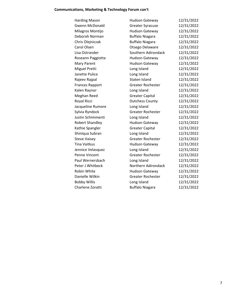### **Communications, Marketing & Technology Forum con't**

| <b>Harding Mason</b>   | <b>Hudson Gateway</b>    | 12/31/2022 |
|------------------------|--------------------------|------------|
| <b>Gwenn McDonald</b>  | <b>Greater Syracuse</b>  | 12/31/2022 |
| Milagros Montijo       | <b>Hudson Gateway</b>    | 12/31/2022 |
| Deborah Norman         | <b>Buffalo Niagara</b>   | 12/31/2022 |
| Chris Olejniczak       | <b>Buffalo Niagara</b>   | 12/31/2022 |
| Carol Olsen            | Otsego Delaware          | 12/31/2022 |
| Lisa Ostrander         | Southern Adirondack      | 12/31/2022 |
| Roseann Paggiotta      | <b>Hudson Gateway</b>    | 12/31/2022 |
| Mary Parent            | <b>Hudson Gateway</b>    | 12/31/2022 |
| Miguel Pretti          | Long Island              | 12/31/2022 |
| Janette Pulice         | Long Island              | 12/31/2022 |
| Rajeev Rajpal          | Staten Island            | 12/31/2022 |
| <b>Frances Rapport</b> | <b>Greater Rochester</b> | 12/31/2022 |
| Kalen Raynor           | Long Island              | 12/31/2022 |
| Meghan Reed            | <b>Greater Capital</b>   | 12/31/2022 |
| Royal Ricci            | <b>Dutchess County</b>   | 12/31/2022 |
| Jacqueline Rumore      | Long Island              | 12/31/2022 |
| Sylvia Ryndock         | Greater Rochester        | 12/31/2022 |
| Justin Schimmenti      | Long Island              | 12/31/2022 |
| <b>Robert Shandley</b> | <b>Hudson Gateway</b>    | 12/31/2022 |
| Kathie Spangler        | <b>Greater Capital</b>   | 12/31/2022 |
| Shiniqua Subran        | Long Island              | 12/31/2022 |
| <b>Steve Vaisey</b>    | Greater Rochester        | 12/31/2022 |
| Tina Vaitkus           | <b>Hudson Gateway</b>    | 12/31/2022 |
| Jennice Velasquez      | Long Island              | 12/31/2022 |
| Penne Vincent          | Greater Rochester        | 12/31/2022 |
| Paul Wernersbach       | Long Island              | 12/31/2022 |
| Peter J Whitbeck       | Northern Adirondack      | 12/31/2022 |
| Robin White            | <b>Hudson Gateway</b>    | 12/31/2022 |
| Danielle Wilkin        | <b>Greater Rochester</b> | 12/31/2022 |
| <b>Bobby Willis</b>    | Long Island              | 12/31/2022 |
| Charlene Zoratti       | <b>Buffalo Niagara</b>   | 12/31/2022 |
|                        |                          |            |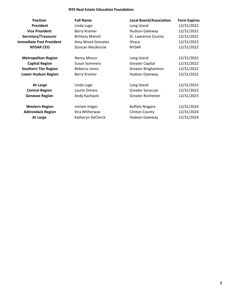### **NYS Real Estate Education Foundation**

| <b>Position</b>                 | <b>Full Name</b>       | <b>Local Board/Association</b> | <b>Term Expires</b> |
|---------------------------------|------------------------|--------------------------------|---------------------|
| President                       | Linda Lugo             | Long Island                    | 12/31/2022          |
| <b>Vice President</b>           | Barry Kramer           | <b>Hudson Gateway</b>          | 12/31/2022          |
| Secretary/Treasurer             | <b>Brittany Matott</b> | St. Lawrence County            | 12/31/2022          |
| <b>Immediate Past President</b> | Amy Wood Gonzalez      | Ithaca                         | 12/31/2022          |
| <b>NYSAR CEO</b>                | Duncan MacKenzie       | <b>NYSAR</b>                   | 12/31/2022          |
| <b>Metropolitan Region</b>      | Nancy Mosca            | Long Island                    | 12/31/2022          |
| <b>Capital Region</b>           | <b>Susan Sommers</b>   | <b>Greater Capital</b>         | 12/31/2022          |
| <b>Southern Tier Region</b>     | Rebecca Jones          | <b>Greater Binghamton</b>      | 12/31/2022          |
| <b>Lower Hudson Region</b>      | Barry Kramer           | <b>Hudson Gateway</b>          | 12/31/2022          |
| <b>At Large</b>                 | Linda Lugo             | Long Island                    | 12/31/2023          |
| <b>Central Region</b>           | Laurie Omans           | <b>Greater Syracuse</b>        | 12/31/2023          |
| <b>Genesee Region</b>           | Andy Kachaylo          | Greater Rochester              | 12/31/2023          |
| <b>Western Region</b>           | miriam treger          | <b>Buffalo Niagara</b>         | 12/31/2024          |
| <b>Adirondack Region</b>        | Kira Witherwax         | <b>Clinton County</b>          | 12/31/2024          |
| At Large                        | Katheryn DeClerck      | <b>Hudson Gateway</b>          | 12/31/2024          |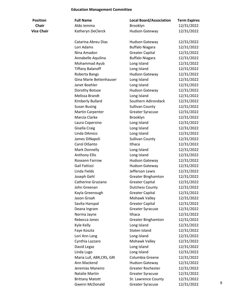### **Education Management Committee**

| Position          |  |  |
|-------------------|--|--|
| <b>Chair</b>      |  |  |
| <b>Vice Chair</b> |  |  |

| <b>Position</b>   | <b>Full Name</b>          | <b>Local Board/Association</b> | <b>Term Expires</b> |   |
|-------------------|---------------------------|--------------------------------|---------------------|---|
| <b>Chair</b>      | Aldo Iemma                | Brooklyn                       | 12/31/2022          |   |
| <b>Vice Chair</b> | Katheryn DeClerck         | <b>Hudson Gateway</b>          | 12/31/2022          |   |
|                   |                           |                                |                     |   |
|                   | Catarina Abreu Dias       | <b>Hudson Gateway</b>          | 12/31/2022          |   |
|                   | Lori Adams                | <b>Buffalo Niagara</b>         | 12/31/2022          |   |
|                   | Nina Amadon               | <b>Greater Capital</b>         | 12/31/2022          |   |
|                   | Annabelle Aquilina        | <b>Buffalo Niagara</b>         | 12/31/2022          |   |
|                   | Mohammad Ayub             | Long Island                    | 12/31/2022          |   |
|                   | <b>Tiffany Balanoff</b>   | Long Island                    | 12/31/2022          |   |
|                   | Roberta Bangs             | Hudson Gateway                 | 12/31/2022          |   |
|                   | Gina Marie Bettenhauser   | Long Island                    | 12/31/2022          |   |
|                   | Janet Boehler             | Long Island                    | 12/31/2022          |   |
|                   | Dorothy Botsoe            | Hudson Gateway                 | 12/31/2022          |   |
|                   | Melissa Brandt            | Long Island                    | 12/31/2022          |   |
|                   | Kimberly Bullard          | Southern Adirondack            | 12/31/2022          |   |
|                   | <b>Susan Busing</b>       | <b>Sullivan County</b>         | 12/31/2022          |   |
|                   | <b>Martin Carpenter</b>   | <b>Greater Syracuse</b>        | 12/31/2022          |   |
|                   | Marcia Clarke             | Brooklyn                       | 12/31/2022          |   |
|                   | Laura Copersino           | Long Island                    | 12/31/2022          |   |
|                   | Gisella Craig             | Long Island                    | 12/31/2022          |   |
|                   | Linda DAmico              | Long Island                    | 12/31/2022          |   |
|                   | James DiNapoli            | <b>Sullivan County</b>         | 12/31/2022          |   |
|                   | Carol DiSanto             | Ithaca                         | 12/31/2022          |   |
|                   | Mark Donnelly             | Long Island                    | 12/31/2022          |   |
|                   | <b>Anthony Ellis</b>      | Long Island                    | 12/31/2022          |   |
|                   | Roseann Farrow            | <b>Hudson Gateway</b>          | 12/31/2022          |   |
|                   | Gail Fattizzi             | <b>Hudson Gateway</b>          | 12/31/2022          |   |
|                   | Linda Fields              | Jefferson Lewis                | 12/31/2022          |   |
|                   | Joseph Gehl               | <b>Greater Binghamton</b>      | 12/31/2022          |   |
|                   | Catherine Graziano        | <b>Greater Capital</b>         | 12/31/2022          |   |
|                   | John Greenan              | <b>Dutchess County</b>         | 12/31/2022          |   |
|                   | Kayla Greenough           | <b>Greater Capital</b>         | 12/31/2022          |   |
|                   | Jason Groah               | Mohawk Valley                  | 12/31/2022          |   |
|                   | Savita Hanspal            | <b>Greater Capital</b>         | 12/31/2022          |   |
|                   | Deana Ingram              | <b>Greater Syracuse</b>        | 12/31/2022          |   |
|                   | Norma Jayne               | Ithaca                         | 12/31/2022          |   |
|                   | Rebecca Jones             | <b>Greater Binghamton</b>      | 12/31/2022          |   |
|                   | Kyle Kelly                | Long Island                    | 12/31/2022          |   |
|                   | Faye Koszta               | Staten Island                  | 12/31/2022          |   |
|                   | Lori Ann Lang             | Long Island                    | 12/31/2022          |   |
|                   | Cynthia Lazzaro           | Mohawk Valley                  | 12/31/2022          |   |
|                   | David Legaz               | Long Island                    | 12/31/2022          |   |
|                   | Linda Lugo                | Long Island                    | 12/31/2022          |   |
|                   | Maria Lull, ABR, CRS, GRI | Columbia Greene                | 12/31/2022          |   |
|                   | Ann Mackend               | <b>Hudson Gateway</b>          | 12/31/2022          |   |
|                   | Jeremias Maneiro          | <b>Greater Rochester</b>       | 12/31/2022          |   |
|                   | Natalie Martin            | <b>Greater Syracuse</b>        | 12/31/2022          |   |
|                   | <b>Brittany Matott</b>    | St. Lawrence County            | 12/31/2022          |   |
|                   | Gwenn McDonald            | <b>Greater Syracuse</b>        | 12/31/2022          | 9 |
|                   |                           |                                |                     |   |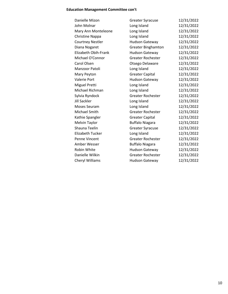### **Education Management Committee con't**

| Danielle Mizon          | <b>Greater Syracuse</b>   | 12/31/2022 |
|-------------------------|---------------------------|------------|
| John Molnar             | Long Island               | 12/31/2022 |
| Mary Ann Monteleone     | Long Island               | 12/31/2022 |
| <b>Christine Nappa</b>  | Long Island               | 12/31/2022 |
| <b>Courtney Nestler</b> | <b>Hudson Gateway</b>     | 12/31/2022 |
| Diana Nogaret           | <b>Greater Binghamton</b> | 12/31/2022 |
| Elizabeth Obih-Frank    | Hudson Gateway            | 12/31/2022 |
| Michael O'Connor        | <b>Greater Rochester</b>  | 12/31/2022 |
| Carol Olsen             | Otsego Delaware           | 12/31/2022 |
| Manzoor Patoli          | Long Island               | 12/31/2022 |
| Mary Peyton             | <b>Greater Capital</b>    | 12/31/2022 |
| Valerie Port            | <b>Hudson Gateway</b>     | 12/31/2022 |
| Miguel Pretti           | Long Island               | 12/31/2022 |
| Michael Richman         | Long Island               | 12/31/2022 |
| Sylvia Ryndock          | <b>Greater Rochester</b>  | 12/31/2022 |
| Jill Sackler            | Long Island               | 12/31/2022 |
| <b>Moses Seuram</b>     | Long Island               | 12/31/2022 |
| Michael Smith           | <b>Greater Rochester</b>  | 12/31/2022 |
| Kathie Spangler         | <b>Greater Capital</b>    | 12/31/2022 |
| <b>Melvin Taylor</b>    | <b>Buffalo Niagara</b>    | 12/31/2022 |
| Shauna Teelin           | <b>Greater Syracuse</b>   | 12/31/2022 |
| <b>Elizabeth Tucker</b> | Long Island               | 12/31/2022 |
| Penne Vincent           | <b>Greater Rochester</b>  | 12/31/2022 |
| Amber Wesser            | <b>Buffalo Niagara</b>    | 12/31/2022 |
| <b>Robin White</b>      | <b>Hudson Gateway</b>     | 12/31/2022 |
| Danielle Wilkin         | <b>Greater Rochester</b>  | 12/31/2022 |
| <b>Cheryl Williams</b>  | <b>Hudson Gateway</b>     | 12/31/2022 |
|                         |                           |            |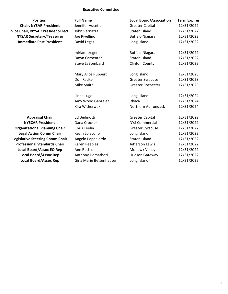### **Executive Committee**

| <b>Position</b>                          | <b>Full Name</b>        | <b>Local Board/Association</b> | <b>Term Expires</b> |
|------------------------------------------|-------------------------|--------------------------------|---------------------|
| <b>Chair, NYSAR President</b>            | Jennifer Vucetic        | <b>Greater Capital</b>         | 12/31/2022          |
| <b>Vice Chair, NYSAR President-Elect</b> | John Vernazza           | Staten Island                  | 12/31/2022          |
| <b>NYSAR Secretary/Treasurer</b>         | Joe Rivellino           | <b>Buffalo Niagara</b>         | 12/31/2022          |
| <b>Immediate Past President</b>          | David Legaz             | Long Island                    | 12/31/2022          |
|                                          | miriam treger           | <b>Buffalo Niagara</b>         | 12/31/2022          |
|                                          | Dawn Carpenter          | Staten Island                  | 12/31/2022          |
|                                          | Steve LaBombard         | <b>Clinton County</b>          | 12/31/2022          |
|                                          | Mary Alice Ruppert      | Long Island                    | 12/31/2023          |
|                                          | Don Radke               | <b>Greater Syracuse</b>        | 12/31/2023          |
|                                          | Mike Smith              | <b>Greater Rochester</b>       | 12/31/2023          |
|                                          | Linda Lugo              | Long Island                    | 12/31/2024          |
|                                          | Amy Wood Ganzalez       | Ithaca                         | 12/31/2024          |
|                                          | Kira Witherwax          | Northern Adirondack            | 12/31/2024          |
| <b>Appraisal Chair</b>                   | Ed Bedinotti            | <b>Greater Capital</b>         | 12/31/2022          |
| <b>NYSCAR President</b>                  | Dana Crocker            | <b>NYS Commercial</b>          | 12/31/2022          |
| <b>Organizational Planning Chair</b>     | <b>Chris Teelin</b>     | <b>Greater Syracuse</b>        | 12/31/2022          |
| <b>Legal Action Comm Chair</b>           | Kevin Loiacono          | Long Island                    | 12/31/2022          |
| <b>Legislative Steering Comm Chair</b>   | Angelo Pappalardo       | Staten Island                  | 12/31/2022          |
| <b>Professional Standards Chair</b>      | Karen Peebles           | Jefferson Lewis                | 12/31/2022          |
| <b>Local Board/Assoc EO Rep</b>          | Ann Rushlo              | Mohawk Valley                  | 12/31/2022          |
| <b>Local Board/Assoc Rep</b>             | Anthony Domathoti       | Hudson Gateway                 | 12/31/2022          |
| <b>Local Board/Assoc Rep</b>             | Gina Marie Bettenhauser | Long Island                    | 12/31/2022          |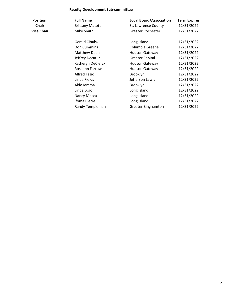### **Faculty Development Sub-committee**

| <b>Position</b><br>Chair | <b>Full Name</b><br><b>Brittany Matott</b> | <b>Local Board/Association</b><br>St. Lawrence County | <b>Term Expires</b><br>12/31/2022 |
|--------------------------|--------------------------------------------|-------------------------------------------------------|-----------------------------------|
| Vice Chair               | Mike Smith                                 | Greater Rochester                                     | 12/31/2022                        |
|                          | Gerald Cibulski                            | Long Island                                           | 12/31/2022                        |
|                          | Don Cummins                                | Columbia Greene                                       | 12/31/2022                        |
|                          | <b>Matthew Dean</b>                        | <b>Hudson Gateway</b>                                 | 12/31/2022                        |
|                          | Jeffrey Decatur                            | <b>Greater Capital</b>                                | 12/31/2022                        |
|                          | Katheryn DeClerck                          | <b>Hudson Gateway</b>                                 | 12/31/2022                        |
|                          | Roseann Farrow                             | <b>Hudson Gateway</b>                                 | 12/31/2022                        |
|                          | <b>Alfred Fazio</b>                        | Brooklyn                                              | 12/31/2022                        |
|                          | Linda Fields                               | Jefferson Lewis                                       | 12/31/2022                        |
|                          | Aldo Iemma                                 | Brooklyn                                              | 12/31/2022                        |
|                          | Linda Lugo                                 | Long Island                                           | 12/31/2022                        |
|                          | Nancy Mosca                                | Long Island                                           | 12/31/2022                        |
|                          | <b>Ifoma Pierre</b>                        | Long Island                                           | 12/31/2022                        |
|                          | Randy Templeman                            | <b>Greater Binghamton</b>                             | 12/31/2022                        |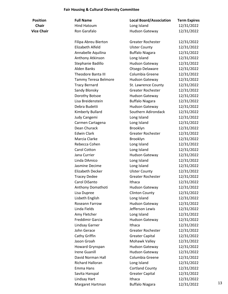#### **Fair Housing & Cultural Diversity Committee**

| <b>Position</b>   | <b>Full Name</b>          | <b>Local Board/Association</b> | <b>Term Expires</b> |
|-------------------|---------------------------|--------------------------------|---------------------|
| Chair             | <b>Hind Hatoum</b>        | Long Island                    | 12/31/2022          |
| <b>Vice Chair</b> | Ron Garafalo              | <b>Hudson Gateway</b>          | 12/31/2022          |
|                   | Filipa Abreu Bierton      | <b>Greater Rochester</b>       | 12/31/2022          |
|                   | Elizabeth Alfeld          | <b>Ulster County</b>           | 12/31/2022          |
|                   | Annabelle Aquilina        | <b>Buffalo Niagara</b>         | 12/31/2022          |
|                   | Anthony Atkinson          | Long Island                    | 12/31/2022          |
|                   | Stephanie Badillo         | <b>Hudson Gateway</b>          | 12/31/2022          |
|                   | <b>Alden Banks</b>        | Otsego Delaware                | 12/31/2022          |
|                   | <b>Theodore Banta III</b> | Columbia Greene                | 12/31/2022          |
|                   | Tammy Teresa Belmore      | Hudson Gateway                 | 12/31/2022          |
|                   | <b>Tracy Bernard</b>      | St. Lawrence County            | 12/31/2022          |
|                   | Sandy Blonsky             | <b>Greater Rochester</b>       | 12/31/2022          |
|                   | Dorothy Botsoe            | <b>Hudson Gateway</b>          | 12/31/2022          |
|                   | Lisa Breidenstein         | <b>Buffalo Niagara</b>         | 12/31/2022          |
|                   | Debra Budetti             | Hudson Gateway                 | 12/31/2022          |
|                   | Kimberly Bullard          | Southern Adirondack            | 12/31/2022          |
|                   | Judy Cangemi              | Long Island                    | 12/31/2022          |
|                   | Carmen Cartagena          | Long Island                    | 12/31/2022          |
|                   | Dean Churack              | Brooklyn                       | 12/31/2022          |
|                   | <b>Edwin Clark</b>        | <b>Greater Rochester</b>       | 12/31/2022          |
|                   | Marcia Clarke             | Brooklyn                       | 12/31/2022          |
|                   | Rebecca Cohen             | Long Island                    | 12/31/2022          |
|                   | Carol Cotton              | Long Island                    | 12/31/2022          |
|                   | Jana Currier              | <b>Hudson Gateway</b>          | 12/31/2022          |
|                   | Linda DAmico              | Long Island                    | 12/31/2022          |
|                   | Jasmine Decime            | Long Island                    | 12/31/2022          |
|                   | <b>Elizabeth Decker</b>   | <b>Ulster County</b>           | 12/31/2022          |
|                   | <b>Tracey Dedee</b>       | <b>Greater Rochester</b>       | 12/31/2022          |
|                   | Carol DiSanto             | Ithaca                         | 12/31/2022          |
|                   | Anthony Domathoti         | Hudson Gateway                 | 12/31/2022          |
|                   | Lisa Dupree               | <b>Clinton County</b>          | 12/31/2022          |
|                   | Lisbeth English           | Long Island                    | 12/31/2022          |
|                   | Roseann Farrow            | Hudson Gateway                 | 12/31/2022          |
|                   | Linda Fields              | Jefferson Lewis                | 12/31/2022          |
|                   | Amy Fletcher              | Long Island                    | 12/31/2022          |
|                   | Freddimir Garcia          | <b>Hudson Gateway</b>          | 12/31/2022          |
|                   | Lindsay Garner            | Ithaca                         | 12/31/2022          |
|                   | John Gerace               | <b>Greater Rochester</b>       | 12/31/2022          |
|                   | Cathy Griffin             | <b>Greater Capital</b>         | 12/31/2022          |
|                   | Jason Groah               | Mohawk Valley                  | 12/31/2022          |
|                   | Howard Grynspan           | Hudson Gateway                 | 12/31/2022          |
|                   | <b>Irene Guanill</b>      | <b>Hudson Gateway</b>          | 12/31/2022          |
|                   | David Norman Hall         | Columbia Greene                | 12/31/2022          |
|                   | Richard Halloran          | Long Island                    | 12/31/2022          |
|                   | Emma Hans                 | <b>Cortland County</b>         | 12/31/2022          |
|                   | Savita Hanspal            | <b>Greater Capital</b>         | 12/31/2022          |
|                   | Lindsay Hart              | Ithaca                         | 12/31/2022          |
|                   | Margaret Hartman          | <b>Buffalo Niagara</b>         | 12/31/2022          |
|                   |                           |                                |                     |

er 12/31/2022 Elizabeth Alfeld Ulster County 12/31/2022 Annabelle Aquilina Buffalo Niagara 12/31/2022 Anthony Atkinson Long Island 12/31/2022 Stephanie Badillo Hudson Gateway 12/31/2022  $\frac{12}{31/2022}$ e 12/31/2022 Tammy Teresa Belmore Hudson Gateway 12/31/2022 Inty 12/31/2022 er 12/31/2022 Dorothy Botsoe Hudson Gateway 12/31/2022 Lisa Breidenstein Buffalo Niagara 12/31/2022 Debra Budetti Hudson Gateway 12/31/2022 dack 12/31/2022 12/31/2022 Carmen Cartagena Long Island 12/31/2022 Dean Churack Brooklyn 12/31/2022 er 12/31/2022 12/31/2022 Rebecca Cohen Long Island 12/31/2022 Carol Cotton Long Island 12/31/2022 12/31/2022 12/31/2022 12/31/2022 Elizabeth Decker Ulster County 12/31/2022 er 12/31/2022 Carol DiSanto Ithaca 12/31/2022 Anthony Domathoti Hudson Gateway 12/31/2022 12/31/2022 Lisbeth English Long Island 12/31/2022 Roseann Farrow Hudson Gateway 12/31/2022 Linda Fields Jefferson Lewis 12/31/2022 Amy Fletcher Long Island 12/31/2022 Freddimir Garcia Hudson Gateway 12/31/2022 12/31/2022 er 12/31/2022 Cathy Griffin Greater Capital 12/31/2022 12/31/2022 12/31/2022 12/31/2022 e 12/31/2022 Richard Halloran Long Island 12/31/2022 Emma Hans Cortland County 12/31/2022 Savita Hanspal Greater Capital 12/31/2022 12/31/2022 12/31/2022 13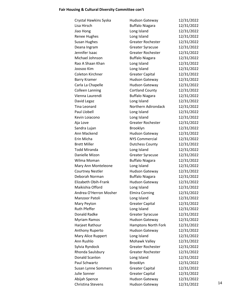# **Fair Housing & Cultural Diversity Committee con't**

| Crystal Hawkins Syska   | Hudson Gateway           | 12/31/2022 |    |
|-------------------------|--------------------------|------------|----|
| Lisa Hirsch             | <b>Buffalo Niagara</b>   | 12/31/2022 |    |
| Jiao Hong               | Long Island              | 12/31/2022 |    |
| Renee Hughes            | Long Island              | 12/31/2022 |    |
| Susan Hughes            | <b>Greater Rochester</b> | 12/31/2022 |    |
| Deana Ingram            | <b>Greater Syracuse</b>  | 12/31/2022 |    |
| Jennifer Isaac          | <b>Greater Rochester</b> | 12/31/2022 |    |
| Michael Johnson         | <b>Buffalo Niagara</b>   | 12/31/2022 |    |
| Rao A Shaan Khan        | Long Island              | 12/31/2022 |    |
| Joosoo Kim              | Long Island              | 12/31/2022 |    |
| Coleton Kirchner        | <b>Greater Capital</b>   | 12/31/2022 |    |
| <b>Barry Kramer</b>     | Hudson Gateway           | 12/31/2022 |    |
| Carla La Chapelle       | Hudson Gateway           | 12/31/2022 |    |
| <b>Colleen Lanning</b>  | <b>Cortland County</b>   | 12/31/2022 |    |
| Vienna Laurendi         | <b>Buffalo Niagara</b>   | 12/31/2022 |    |
| David Legaz             | Long Island              | 12/31/2022 |    |
| Tina Leonard            | Northern Adirondack      | 12/31/2022 |    |
| <b>Paul Llobell</b>     | Long Island              | 12/31/2022 |    |
| Kevin Loiacono          | Long Island              | 12/31/2022 |    |
| Aja Love                | <b>Greater Rochester</b> | 12/31/2022 |    |
| Sandra Lujan            | Brooklyn                 | 12/31/2022 |    |
| Ann Mackend             | Hudson Gateway           | 12/31/2022 |    |
| Erin Micha              | <b>NYS Commercial</b>    | 12/31/2022 |    |
| <b>Brett Miller</b>     | <b>Dutchess County</b>   | 12/31/2022 |    |
| Todd Miranda            | Long Island              | 12/31/2022 |    |
| Danielle Mizon          | <b>Greater Syracuse</b>  | 12/31/2022 |    |
| Wilma Moman             | <b>Buffalo Niagara</b>   | 12/31/2022 |    |
| Mary Ann Monteleone     | Long Island              | 12/31/2022 |    |
| <b>Courtney Nestler</b> | Hudson Gateway           | 12/31/2022 |    |
| Deborah Norman          | <b>Buffalo Niagara</b>   | 12/31/2022 |    |
| Elizabeth Obih-Frank    | Hudson Gateway           | 12/31/2022 |    |
| Maikishia Offord        | Long Island              | 12/31/2022 |    |
| Andrea O'Herron Mosher  | <b>Elmira Corning</b>    | 12/31/2022 |    |
| Manzoor Patoli          | Long Island              | 12/31/2022 |    |
| Mary Peyton             | <b>Greater Capital</b>   | 12/31/2022 |    |
| <b>Ruth Pfeffer</b>     | Long Island              | 12/31/2022 |    |
| Donald Radke            | <b>Greater Syracuse</b>  | 12/31/2022 |    |
| Myriam Ramos            | <b>Hudson Gateway</b>    | 12/31/2022 |    |
| Harjeet Rathour         | Hamptons North Fork      | 12/31/2022 |    |
| Anthony Ruperto         | <b>Hudson Gateway</b>    | 12/31/2022 |    |
| Mary Alice Ruppert      | Long Island              | 12/31/2022 |    |
| Ann Rushlo              | Mohawk Valley            | 12/31/2022 |    |
| Sylvia Ryndock          | <b>Greater Rochester</b> | 12/31/2022 |    |
| Rhonda Saulsbury        | <b>Greater Rochester</b> | 12/31/2022 |    |
| Donald Scanlon          | Long Island              | 12/31/2022 |    |
| Paul Schwartz           | Brooklyn                 | 12/31/2022 |    |
| Susan Lynne Sommers     | <b>Greater Capital</b>   | 12/31/2022 |    |
| Julie Sonner            | <b>Greater Capital</b>   | 12/31/2022 |    |
| Abijah Spence           | Hudson Gateway           | 12/31/2022 |    |
| Christina Stevens       | Hudson Gateway           | 12/31/2022 | 14 |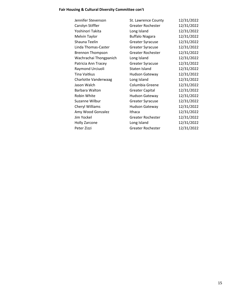### **Fair Housing & Cultural Diversity Committee con't**

| Jennifer Stevenson      | St. Lawrence County      | 12/31/2022 |
|-------------------------|--------------------------|------------|
| Carolyn Stiffler        | <b>Greater Rochester</b> | 12/31/2022 |
| Yoshinori Takita        | Long Island              | 12/31/2022 |
| Melvin Taylor           | <b>Buffalo Niagara</b>   | 12/31/2022 |
| Shauna Teelin           | <b>Greater Syracuse</b>  | 12/31/2022 |
| Linda Thomas-Caster     | <b>Greater Syracuse</b>  | 12/31/2022 |
| <b>Brennon Thompson</b> | Greater Rochester        | 12/31/2022 |
| Wachrachai Thongpanich  | Long Island              | 12/31/2022 |
| Patricia Ann Tracey     | <b>Greater Syracuse</b>  | 12/31/2022 |
| Raymond Urciuoli        | Staten Island            | 12/31/2022 |
| Tina Vaitkus            | <b>Hudson Gateway</b>    | 12/31/2022 |
| Charlotte Vanderwaag    | Long Island              | 12/31/2022 |
| Jason Walch             | Columbia Greene          | 12/31/2022 |
| Barbara Walton          | <b>Greater Capital</b>   | 12/31/2022 |
| Robin White             | <b>Hudson Gateway</b>    | 12/31/2022 |
| Suzanne Wilbur          | <b>Greater Syracuse</b>  | 12/31/2022 |
| Cheryl Williams         | <b>Hudson Gateway</b>    | 12/31/2022 |
| Amy Wood Gonzalez       | Ithaca                   | 12/31/2022 |
| Jim Yockel              | <b>Greater Rochester</b> | 12/31/2022 |
| <b>Holly Zarcone</b>    | Long Island              | 12/31/2022 |
| Peter Zizzi             | <b>Greater Rochester</b> | 12/31/2022 |
|                         |                          |            |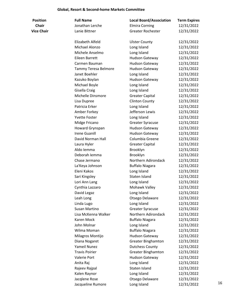### **Global, Resort & Second-home Markets Committee**

| <b>Position</b>   | <b>Full Name</b>      | <b>Local Board/Association</b> | <b>Term Expires</b> |    |
|-------------------|-----------------------|--------------------------------|---------------------|----|
| <b>Chair</b>      | Jonathan Lerche       | <b>Elmira Corning</b>          | 12/31/2022          |    |
| <b>Vice Chair</b> | Lanie Bittner         | <b>Greater Rochester</b>       | 12/31/2022          |    |
|                   | Elizabeth Alfeld      | <b>Ulster County</b>           | 12/31/2022          |    |
|                   | Michael Alonzo        | Long Island                    | 12/31/2022          |    |
|                   | Michele Anselmo       | Long Island                    | 12/31/2022          |    |
|                   | Eileen Barrett        | Hudson Gateway                 | 12/31/2022          |    |
|                   | Carmen Bauman         | <b>Hudson Gateway</b>          | 12/31/2022          |    |
|                   | Tammy Teresa Belmore  | <b>Hudson Gateway</b>          | 12/31/2022          |    |
|                   | Janet Boehler         | Long Island                    | 12/31/2022          |    |
|                   | Kazuko Boylan         | <b>Hudson Gateway</b>          | 12/31/2022          |    |
|                   | Michael Boyle         | Long Island                    | 12/31/2022          |    |
|                   | Gisella Craig         | Long Island                    | 12/31/2022          |    |
|                   | Michelle Dinsmore     | <b>Greater Capital</b>         | 12/31/2022          |    |
|                   | Lisa Dupree           | <b>Clinton County</b>          | 12/31/2022          |    |
|                   | Patricia Erker        | Long Island                    | 12/31/2022          |    |
|                   | Amber Forkey          | Jefferson Lewis                | 12/31/2022          |    |
|                   | <b>Yvette Foster</b>  | Long Island                    | 12/31/2022          |    |
|                   | Midge Fricano         | <b>Greater Syracuse</b>        | 12/31/2022          |    |
|                   | Howard Grynspan       | Hudson Gateway                 | 12/31/2022          |    |
|                   | <b>Irene Guanill</b>  | <b>Hudson Gateway</b>          | 12/31/2022          |    |
|                   | David Norman Hall     | Columbia Greene                | 12/31/2022          |    |
|                   | Laura Hyler           | <b>Greater Capital</b>         | 12/31/2022          |    |
|                   | Aldo Iemma            | Brooklyn                       | 12/31/2022          |    |
|                   | Deborah lemma         | Brooklyn                       | 12/31/2022          |    |
|                   | Chase Jermano         | Northern Adirondack            | 12/31/2022          |    |
|                   | La'Keya Johnson       | <b>Buffalo Niagara</b>         | 12/31/2022          |    |
|                   | Eleni Kakos           | Long Island                    | 12/31/2022          |    |
|                   | Sari Kingsley         | Staten Island                  | 12/31/2022          |    |
|                   | Lori Ann Lang         | Long Island                    | 12/31/2022          |    |
|                   | Cynthia Lazzaro       | Mohawk Valley                  | 12/31/2022          |    |
|                   | David Legaz           | Long Island                    | 12/31/2022          |    |
|                   | Leah Long             | Otsego Delaware                | 12/31/2022          |    |
|                   | Linda Lugo            | Long Island                    | 12/31/2022          |    |
|                   | Susan Martino         | <b>Greater Syracuse</b>        | 12/31/2022          |    |
|                   | Lisa McKenna Walker   | Northern Adirondack            | 12/31/2022          |    |
|                   | Karen Mock            | <b>Buffalo Niagara</b>         | 12/31/2022          |    |
|                   | John Molnar           | Long Island                    | 12/31/2022          |    |
|                   | Wilma Moman           | <b>Buffalo Niagara</b>         | 12/31/2022          |    |
|                   | Milagros Montijo      | <b>Hudson Gateway</b>          | 12/31/2022          |    |
|                   | Diana Nogaret         | <b>Greater Binghamton</b>      | 12/31/2022          |    |
|                   | Yameil Nunez          | <b>Dutchess County</b>         | 12/31/2022          |    |
|                   | <b>Travis Poirier</b> | <b>Greater Binghamton</b>      | 12/31/2022          |    |
|                   | Valerie Port          | Hudson Gateway                 | 12/31/2022          |    |
|                   | Anita Raj             | Long Island                    | 12/31/2022          |    |
|                   | Rajeev Rajpal         | Staten Island                  | 12/31/2022          |    |
|                   | Kalen Raynor          | Long Island                    | 12/31/2022          |    |
|                   | Jacqlene Rose         | Otsego Delaware                | 12/31/2022          |    |
|                   | Jacqueline Rumore     | Long Island                    | 12/31/2022          | 16 |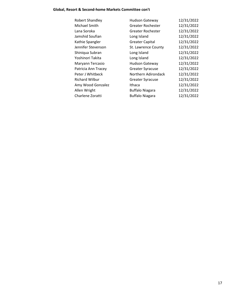### **Global, Resort & Second-home Markets Committee con't**

| <b>Hudson Gateway</b>    | 12/31/2022 |
|--------------------------|------------|
| <b>Greater Rochester</b> | 12/31/2022 |
| Greater Rochester        | 12/31/2022 |
| Long Island              | 12/31/2022 |
| <b>Greater Capital</b>   | 12/31/2022 |
| St. Lawrence County      | 12/31/2022 |
| Long Island              | 12/31/2022 |
| Long Island              | 12/31/2022 |
| <b>Hudson Gateway</b>    | 12/31/2022 |
| <b>Greater Syracuse</b>  | 12/31/2022 |
| Northern Adirondack      | 12/31/2022 |
| <b>Greater Syracuse</b>  | 12/31/2022 |
| Ithaca                   | 12/31/2022 |
| <b>Buffalo Niagara</b>   | 12/31/2022 |
| <b>Buffalo Niagara</b>   | 12/31/2022 |
|                          |            |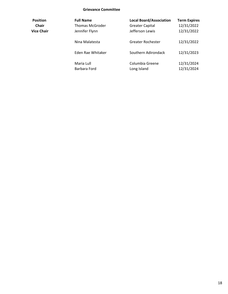#### **Grievance Committee**

| <b>Position</b> | <b>Full Name</b>       | <b>Local Board/Association</b> | <b>Term Expires</b> |
|-----------------|------------------------|--------------------------------|---------------------|
| Chair           | <b>Thomas McGroder</b> | <b>Greater Capital</b>         | 12/31/2022          |
| Vice Chair      | Jennifer Flynn         | Jefferson Lewis                | 12/31/2022          |
|                 | Nina Malatesta         | Greater Rochester              | 12/31/2022          |
|                 | Eden Rae Whitaker      | Southern Adirondack            | 12/31/2023          |
|                 | Maria Lull             | Columbia Greene                | 12/31/2024          |
|                 | Barbara Ford           | Long Island                    | 12/31/2024          |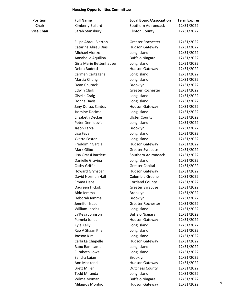### **Housing Opportunities Committee**

| <b>Position</b>   | <b>Full Name</b>        | <b>Local Board/Association</b> | <b>Term Expires</b> |    |
|-------------------|-------------------------|--------------------------------|---------------------|----|
| <b>Chair</b>      | Kimberly Bullard        | Southern Adirondack            | 12/31/2022          |    |
| <b>Vice Chair</b> | Sarah Stansbury         | <b>Clinton County</b>          | 12/31/2022          |    |
|                   |                         |                                |                     |    |
|                   | Filipa Abreu Bierton    | <b>Greater Rochester</b>       | 12/31/2022          |    |
|                   | Catarina Abreu Dias     | Hudson Gateway                 | 12/31/2022          |    |
|                   | Michael Alonzo          | Long Island                    | 12/31/2022          |    |
|                   | Annabelle Aquilina      | <b>Buffalo Niagara</b>         | 12/31/2022          |    |
|                   | Gina Marie Bettenhauser | Long Island                    | 12/31/2022          |    |
|                   | Debra Budetti           | <b>Hudson Gateway</b>          | 12/31/2022          |    |
|                   | Carmen Cartagena        | Long Island                    | 12/31/2022          |    |
|                   | Marcia Chung            | Long Island                    | 12/31/2022          |    |
|                   | Dean Churack            | Brooklyn                       | 12/31/2022          |    |
|                   | <b>Edwin Clark</b>      | <b>Greater Rochester</b>       | 12/31/2022          |    |
|                   | Gisella Craig           | Long Island                    | 12/31/2022          |    |
|                   | Donna Davis             | Long Island                    | 12/31/2022          |    |
|                   | Jany De Los Santos      | Hudson Gateway                 | 12/31/2022          |    |
|                   | Jasmine Decime          | Long Island                    | 12/31/2022          |    |
|                   | Elizabeth Decker        | <b>Ulster County</b>           | 12/31/2022          |    |
|                   | Peter Demidovich        | Long Island                    | 12/31/2022          |    |
|                   | Jason Farca             | Brooklyn                       | 12/31/2022          |    |
|                   | Lisa Fava               | Long Island                    | 12/31/2022          |    |
|                   | <b>Yvette Foster</b>    | Long Island                    | 12/31/2022          |    |
|                   | Freddimir Garcia        | Hudson Gateway                 | 12/31/2022          |    |
|                   | Mark Gilbo              | <b>Greater Syracuse</b>        | 12/31/2022          |    |
|                   | Lisa Grassi Bartlett    | Southern Adirondack            | 12/31/2022          |    |
|                   | Danielle Gravina        | Long Island                    | 12/31/2022          |    |
|                   | Cathy Griffin           | <b>Greater Capital</b>         | 12/31/2022          |    |
|                   | Howard Grynspan         | <b>Hudson Gateway</b>          | 12/31/2022          |    |
|                   | David Norman Hall       | Columbia Greene                | 12/31/2022          |    |
|                   | Emma Hans               | <b>Cortland County</b>         | 12/31/2022          |    |
|                   | Daureen Hickok          | <b>Greater Syracuse</b>        | 12/31/2022          |    |
|                   | Aldo Iemma              | Brooklyn                       | 12/31/2022          |    |
|                   | Deborah lemma           | Brooklyn                       | 12/31/2022          |    |
|                   | Jennifer Isaac          | <b>Greater Rochester</b>       | 12/31/2022          |    |
|                   | William Jacobs          | Long Island                    | 12/31/2022          |    |
|                   | La'Keya Johnson         | <b>Buffalo Niagara</b>         | 12/31/2022          |    |
|                   | Pamela Jones            | Hudson Gateway                 | 12/31/2022          |    |
|                   | Kyle Kelly              | Long Island                    | 12/31/2022          |    |
|                   | Rao A Shaan Khan        | Long Island                    | 12/31/2022          |    |
|                   | Joosoo Kim              | Long Island                    | 12/31/2022          |    |
|                   | Carla La Chapelle       | Hudson Gateway                 | 12/31/2022          |    |
|                   | Babu Ram Lama           | Long Island                    | 12/31/2022          |    |
|                   | Elizabeth Lowe          |                                |                     |    |
|                   |                         | Long Island                    | 12/31/2022          |    |
|                   | Sandra Lujan            | Brooklyn                       | 12/31/2022          |    |
|                   | Ann Mackend             | Hudson Gateway                 | 12/31/2022          |    |
|                   | <b>Brett Miller</b>     | <b>Dutchess County</b>         | 12/31/2022          |    |
|                   | <b>Todd Miranda</b>     | Long Island                    | 12/31/2022          |    |
|                   | Wilma Moman             | <b>Buffalo Niagara</b>         | 12/31/2022          | 19 |
|                   | Milagros Montijo        | <b>Hudson Gateway</b>          | 12/31/2022          |    |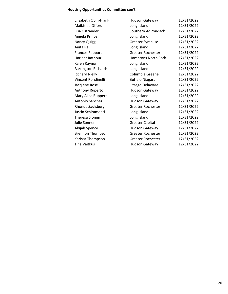### **Housing Opportunities Committee con't**

| Elizabeth Obih-Frank       | <b>Hudson Gateway</b>    | 12/31/2022 |
|----------------------------|--------------------------|------------|
| Maikishia Offord           | Long Island              | 12/31/2022 |
| Lisa Ostrander             | Southern Adirondack      | 12/31/2022 |
| Angela Prince              | Long Island              | 12/31/2022 |
| <b>Nancy Quigg</b>         | <b>Greater Syracuse</b>  | 12/31/2022 |
| Anita Raj                  | Long Island              | 12/31/2022 |
| <b>Frances Rapport</b>     | <b>Greater Rochester</b> | 12/31/2022 |
| Harjeet Rathour            | Hamptons North Fork      | 12/31/2022 |
| Kalen Raynor               | Long Island              | 12/31/2022 |
| <b>Barrington Richards</b> | Long Island              | 12/31/2022 |
| <b>Richard Rielly</b>      | Columbia Greene          | 12/31/2022 |
| Vincent Rondinelli         | <b>Buffalo Niagara</b>   | 12/31/2022 |
| Jacqlene Rose              | Otsego Delaware          | 12/31/2022 |
| Anthony Ruperto            | <b>Hudson Gateway</b>    | 12/31/2022 |
| Mary Alice Ruppert         | Long Island              | 12/31/2022 |
| Antonio Sanchez            | Hudson Gateway           | 12/31/2022 |
| Rhonda Saulsbury           | Greater Rochester        | 12/31/2022 |
| Justin Schimmenti          | Long Island              | 12/31/2022 |
| Theresa Slomin             | Long Island              | 12/31/2022 |
| Julie Sonner               | <b>Greater Capital</b>   | 12/31/2022 |
| Abijah Spence              | <b>Hudson Gateway</b>    | 12/31/2022 |
| <b>Brennon Thompson</b>    | <b>Greater Rochester</b> | 12/31/2022 |
| Karissa Thompson           | <b>Greater Rochester</b> | 12/31/2022 |
| Tina Vaitkus               | Hudson Gateway           | 12/31/2022 |
|                            |                          |            |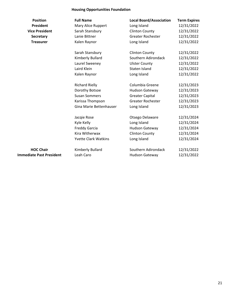### **Housing Opportunities Foundation**

| <b>Position</b>                 | <b>Full Name</b>            | <b>Local Board/Association</b> | <b>Term Expires</b> |
|---------------------------------|-----------------------------|--------------------------------|---------------------|
| <b>President</b>                | Mary Alice Ruppert          | Long Island                    | 12/31/2022          |
| <b>Vice President</b>           | Sarah Stansbury             | <b>Clinton County</b>          | 12/31/2022          |
| Secretary                       | Lanie Bittner               | <b>Greater Rochester</b>       | 12/31/2022          |
| <b>Treasurer</b>                | Kalen Raynor                | Long Island                    | 12/31/2022          |
|                                 | Sarah Stansbury             | <b>Clinton County</b>          | 12/31/2022          |
|                                 | Kimberly Bullard            | Southern Adirondack            | 12/31/2022          |
|                                 | Laurel Sweeney              | <b>Ulster County</b>           | 12/31/2022          |
|                                 | Laird Klein                 | Staten Island                  | 12/31/2022          |
|                                 | Kalen Raynor                | Long Island                    | 12/31/2022          |
|                                 | <b>Richard Rielly</b>       | Columbia Greene                | 12/31/2023          |
|                                 | Dorothy Botsoe              | <b>Hudson Gateway</b>          | 12/31/2023          |
|                                 | <b>Susan Sommers</b>        | <b>Greater Capital</b>         | 12/31/2023          |
|                                 | Karissa Thompson            | <b>Greater Rochester</b>       | 12/31/2023          |
|                                 | Gina Marie Bettenhauser     | Long Island                    | 12/31/2023          |
|                                 | Jacqie Rose                 | Otsego Delaware                | 12/31/2024          |
|                                 | Kyle Kelly                  | Long Island                    | 12/31/2024          |
|                                 | <b>Freddy Garcia</b>        | <b>Hudson Gateway</b>          | 12/31/2024          |
|                                 | Kira Witherwax              | <b>Clinton County</b>          | 12/31/2024          |
|                                 | <b>Yvette Clark Watkins</b> | Long Island                    | 12/31/2024          |
| <b>HOC Chair</b>                | Kimberly Bullard            | Southern Adirondack            | 12/31/2022          |
| <b>Immediate Past President</b> | Leah Caro                   | <b>Hudson Gateway</b>          | 12/31/2022          |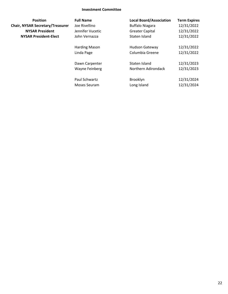### **Investment Committee**

| <b>Position</b>                         | <b>Full Name</b>      | <b>Local Board/Association</b> | <b>Term Expires</b> |
|-----------------------------------------|-----------------------|--------------------------------|---------------------|
| <b>Chair, NYSAR Secretary/Treasurer</b> | Joe Rivellino         | <b>Buffalo Niagara</b>         | 12/31/2022          |
| <b>NYSAR President</b>                  | Jennifer Vucetic      | <b>Greater Capital</b>         | 12/31/2022          |
| <b>NYSAR President-Elect</b>            | John Vernazza         | Staten Island                  | 12/31/2022          |
|                                         | Harding Mason         | <b>Hudson Gateway</b>          | 12/31/2022          |
|                                         | Linda Page            | Columbia Greene                | 12/31/2022          |
|                                         | Dawn Carpenter        | Staten Island                  | 12/31/2023          |
|                                         | <b>Wayne Feinberg</b> | Northern Adirondack            | 12/31/2023          |
|                                         | Paul Schwartz         | Brooklyn                       | 12/31/2024          |
|                                         | Moses Seuram          | Long Island                    | 12/31/2024          |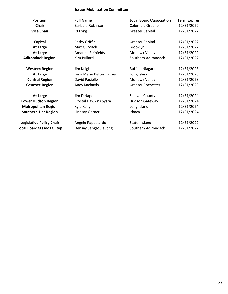### **Issues Mobilization Committee**

| <b>Position</b>                 | <b>Full Name</b>        | <b>Local Board/Association</b> | <b>Term Expires</b> |
|---------------------------------|-------------------------|--------------------------------|---------------------|
| <b>Chair</b>                    | Barbara Robinson        | Columbia Greene                | 12/31/2022          |
| <b>Vice Chair</b>               | RJ Long                 | <b>Greater Capital</b>         | 12/31/2022          |
| Capital                         | Cathy Griffin           | <b>Greater Capital</b>         | 12/31/2022          |
| <b>At Large</b>                 | Max Gurvitch            | Brooklyn                       | 12/31/2022          |
| <b>At Large</b>                 | Amanda Reinfelds        | Mohawk Valley                  | 12/31/2022          |
| <b>Adirondack Region</b>        | Kim Bullard             | Southern Adirondack            | 12/31/2022          |
| <b>Western Region</b>           | Jim Knight              | <b>Buffalo Niagara</b>         | 12/31/2023          |
| <b>At Large</b>                 | Gina Marie Bettenhauser | Long Island                    | 12/31/2023          |
| <b>Central Region</b>           | David Paciello          | Mohawk Valley                  | 12/31/2023          |
| <b>Genesee Region</b>           | Andy Kachaylo           | <b>Greater Rochester</b>       | 12/31/2023          |
| <b>At Large</b>                 | Jim DiNapoli            | <b>Sullivan County</b>         | 12/31/2024          |
| <b>Lower Hudson Region</b>      | Crystal Hawkins Syska   | <b>Hudson Gateway</b>          | 12/31/2024          |
| <b>Metropolitan Region</b>      | Kyle Kelly              | Long Island                    | 12/31/2024          |
| <b>Southern Tier Region</b>     | Lindsay Garner          | Ithaca                         | 12/31/2024          |
| <b>Legislative Policy Chair</b> | Angelo Pappalardo       | Staten Island                  | 12/31/2022          |
| <b>Local Board/Assoc EO Rep</b> | Densay Sengsoulavong    | Southern Adirondack            | 12/31/2022          |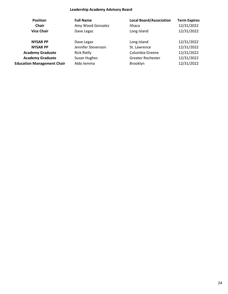### **Leadership Academy Advisory Board**

| <b>Position</b>                   | <b>Full Name</b>   | <b>Local Board/Association</b> | <b>Term Expires</b> |
|-----------------------------------|--------------------|--------------------------------|---------------------|
| <b>Chair</b>                      | Amy Wood Gonzalez  | Ithaca                         | 12/31/2022          |
| <b>Vice Chair</b>                 | Dave Legaz         | Long Island                    | 12/31/2022          |
| <b>NYSAR PP</b>                   | Dave Legaz         | Long Island                    | 12/31/2022          |
| <b>NYSAR PP</b>                   | Jennifer Stevenson | St. Lawrence                   | 12/31/2022          |
| <b>Academy Graduate</b>           | <b>Rick Rielly</b> | Columbia Greene                | 12/31/2022          |
| <b>Academy Graduate</b>           | Susan Hughes       | Greater Rochester              | 12/31/2022          |
| <b>Education Management Chair</b> | Aldo Iemma         | Brooklyn                       | 12/31/2022          |
|                                   |                    |                                |                     |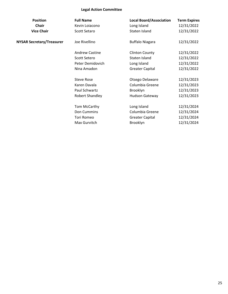### **Legal Action Committee**

| <b>Full Name</b>       | <b>Local Board/Association</b> | <b>Term Expires</b> |
|------------------------|--------------------------------|---------------------|
| Kevin Loiacono         | Long Island                    | 12/31/2022          |
| <b>Scott Setaro</b>    | Staten Island                  | 12/31/2022          |
| Joe Rivellino          | <b>Buffalo Niagara</b>         | 12/31/2022          |
| <b>Andrew Castine</b>  | <b>Clinton County</b>          | 12/31/2022          |
| Scott Setero           | Staten Island                  | 12/31/2022          |
| Peter Demidovich       | Long Island                    | 12/31/2022          |
| Nina Amadon            | <b>Greater Capital</b>         | 12/31/2022          |
| <b>Steve Rose</b>      | Otsego Delaware                | 12/31/2023          |
| Karen Davala           | Columbia Greene                | 12/31/2023          |
| Paul Schwartz          | Brooklyn                       | 12/31/2023          |
| <b>Robert Shandley</b> | <b>Hudson Gateway</b>          | 12/31/2023          |
| Tom McCarthy           | Long Island                    | 12/31/2024          |
| Don Cummins            | Columbia Greene                | 12/31/2024          |
| Tori Romeo             | <b>Greater Capital</b>         | 12/31/2024          |
| Max Gurvitch           | Brooklyn                       | 12/31/2024          |
|                        |                                |                     |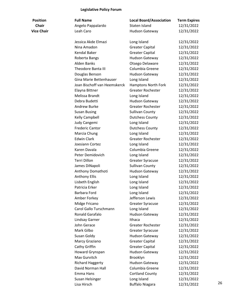# **Legislative Policy Forum**

| Position          |  |  |
|-------------------|--|--|
| Chair             |  |  |
| <b>Vice Chair</b> |  |  |

| <b>Position</b>   | <b>Full Name</b>             | <b>Local Board/Association</b> | <b>Term Expires</b> |    |
|-------------------|------------------------------|--------------------------------|---------------------|----|
| <b>Chair</b>      | Angelo Pappalardo            | Staten Island                  | 12/31/2022          |    |
| <b>Vice Chair</b> | Leah Caro                    | <b>Hudson Gateway</b>          | 12/31/2022          |    |
|                   | Jessica Akde Elmazi          | Long Island                    | 12/31/2022          |    |
|                   | Nina Amadon                  | <b>Greater Capital</b>         | 12/31/2022          |    |
|                   | Kendal Baker                 | <b>Greater Capital</b>         | 12/31/2022          |    |
|                   | Roberta Bangs                | <b>Hudson Gateway</b>          | 12/31/2022          |    |
|                   | <b>Alden Banks</b>           | Otsego Delaware                | 12/31/2022          |    |
|                   | <b>Theodore Banta III</b>    | Columbia Greene                | 12/31/2022          |    |
|                   | Douglas Benson               | <b>Hudson Gateway</b>          | 12/31/2022          |    |
|                   | Gina Marie Bettenhauser      | Long Island                    | 12/31/2022          |    |
|                   | Joan Bischoff van Heemskerck | Hamptons North Fork            | 12/31/2022          |    |
|                   | Elayna Bittner               | <b>Greater Rochester</b>       | 12/31/2022          |    |
|                   | Melissa Brandt               | Long Island                    | 12/31/2022          |    |
|                   | Debra Budetti                | <b>Hudson Gateway</b>          | 12/31/2022          |    |
|                   | <b>Andrew Burke</b>          | <b>Greater Rochester</b>       | 12/31/2022          |    |
|                   | <b>Susan Busing</b>          | <b>Sullivan County</b>         | 12/31/2022          |    |
|                   | Kelly Campbell               | <b>Dutchess County</b>         | 12/31/2022          |    |
|                   | Judy Cangemi                 | Long Island                    | 12/31/2022          |    |
|                   | <b>Frederic Cantor</b>       | <b>Dutchess County</b>         | 12/31/2022          |    |
|                   | Marcia Chung                 | Long Island                    | 12/31/2022          |    |
|                   | <b>Edwin Clark</b>           | <b>Greater Rochester</b>       | 12/31/2022          |    |
|                   | Joesiann Cortez              | Long Island                    | 12/31/2022          |    |
|                   | Karen Davala                 | Columbia Greene                | 12/31/2022          |    |
|                   | Peter Demidovich             | Long Island                    | 12/31/2022          |    |
|                   | Terri Dillon                 | <b>Greater Syracuse</b>        | 12/31/2022          |    |
|                   | James DiNapoli               | <b>Sullivan County</b>         | 12/31/2022          |    |
|                   | Anthony Domathoti            | <b>Hudson Gateway</b>          | 12/31/2022          |    |
|                   | <b>Anthony Ellis</b>         | Long Island                    | 12/31/2022          |    |
|                   | Lisbeth English              | Long Island                    | 12/31/2022          |    |
|                   | Patricia Erker               | Long Island                    | 12/31/2022          |    |
|                   | Barbara Ford                 | Long Island                    | 12/31/2022          |    |
|                   | Amber Forkey                 | Jefferson Lewis                | 12/31/2022          |    |
|                   | Midge Fricano                | <b>Greater Syracuse</b>        | 12/31/2022          |    |
|                   | Carol Gallo Turschmann       | Long Island                    | 12/31/2022          |    |
|                   | Ronald Garafalo              | Hudson Gateway                 | 12/31/2022          |    |
|                   | Lindsay Garner               | Ithaca                         | 12/31/2022          |    |
|                   | John Gerace                  | <b>Greater Rochester</b>       | 12/31/2022          |    |
|                   | Mark Gilbo                   |                                |                     |    |
|                   |                              | <b>Greater Syracuse</b>        | 12/31/2022          |    |
|                   | Susan Goldy                  | <b>Hudson Gateway</b>          | 12/31/2022          |    |
|                   | Marcy Graziano               | <b>Greater Capital</b>         | 12/31/2022          |    |
|                   | Cathy Griffin                | <b>Greater Capital</b>         | 12/31/2022          |    |
|                   | Howard Grynspan              | Hudson Gateway                 | 12/31/2022          |    |
|                   | Max Gurvitch                 | Brooklyn                       | 12/31/2022          |    |
|                   | <b>Richard Haggerty</b>      | <b>Hudson Gateway</b>          | 12/31/2022          |    |
|                   | David Norman Hall            | Columbia Greene                | 12/31/2022          |    |
|                   | Emma Hans                    | <b>Cortland County</b>         | 12/31/2022          |    |
|                   | Susan Helsinger              | Long Island                    | 12/31/2022          | 26 |
|                   | Lisa Hirsch                  | <b>Buffalo Niagara</b>         | 12/31/2022          |    |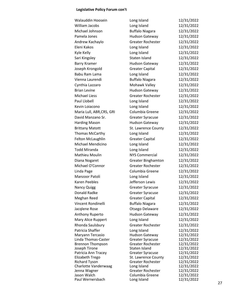#### **Legislative Policy Forum con't**

| Walauddin Hoosein                              | Long Island                              | 12/31/2022               |
|------------------------------------------------|------------------------------------------|--------------------------|
| William Jacobs                                 | Long Island                              | 12/31/2022               |
| Michael Johnson                                | <b>Buffalo Niagara</b>                   | 12/31/2022               |
| Pamela Jones                                   | Hudson Gateway                           | 12/31/2022               |
| Andrew Kachaylo                                | <b>Greater Rochester</b>                 | 12/31/2022               |
| Eleni Kakos                                    | Long Island                              | 12/31/2022               |
| Kyle Kelly                                     | Long Island                              | 12/31/2022               |
| Sari Kingsley                                  | Staten Island                            | 12/31/2022               |
| <b>Barry Kramer</b>                            | Hudson Gateway                           | 12/31/2022               |
| Joseph Krongold                                | <b>Greater Capital</b>                   | 12/31/2022               |
| Babu Ram Lama                                  | Long Island                              | 12/31/2022               |
| Vienna Laurendi                                | <b>Buffalo Niagara</b>                   | 12/31/2022               |
| Cynthia Lazzaro                                | Mohawk Valley                            | 12/31/2022               |
| <b>Brian Levine</b>                            | <b>Hudson Gateway</b>                    | 12/31/2022               |
| <b>Michael Liess</b>                           | <b>Greater Rochester</b>                 | 12/31/2022               |
| <b>Paul Llobell</b>                            | Long Island                              | 12/31/2022               |
| Kevin Loiacono                                 | Long Island                              | 12/31/2022               |
|                                                | Columbia Greene                          | 12/31/2022               |
| Maria Lull, ABR, CRS, GRI<br>David Manzano Sr. |                                          |                          |
|                                                | <b>Greater Syracuse</b>                  | 12/31/2022               |
| <b>Harding Mason</b>                           | <b>Hudson Gateway</b>                    | 12/31/2022               |
| <b>Brittany Matott</b>                         | St. Lawrence County                      | 12/31/2022               |
| Thomas McCarthy                                | Long Island                              | 12/31/2022               |
| Felton McLaughlin                              | <b>Greater Capital</b>                   | 12/31/2022               |
| Michael Mendicino                              | Long Island                              | 12/31/2022               |
| Todd Miranda                                   | Long Island                              | 12/31/2022               |
| Mathieu Moulin                                 | <b>NYS Commercial</b>                    | 12/31/2022               |
| Diana Nogaret                                  | <b>Greater Binghamton</b>                | 12/31/2022               |
| Michael O'Connor                               | <b>Greater Rochester</b>                 | 12/31/2022               |
| Linda Page                                     | Columbia Greene                          | 12/31/2022               |
| Manzoor Patoli                                 | Long Island                              | 12/31/2022               |
| Karen Peebles                                  | Jefferson Lewis                          | 12/31/2022               |
| <b>Nancy Quigg</b>                             | <b>Greater Syracuse</b>                  | 12/31/2022               |
| Donald Radke                                   | <b>Greater Syracuse</b>                  | 12/31/2022               |
| Meghan Reed                                    | <b>Greater Capital</b>                   | 12/31/2022               |
| Vincent Rondinelli                             | <b>Buffalo Niagara</b>                   | 12/31/2022               |
| Jacqlene Rose                                  | Otsego Delaware                          | 12/31/2022               |
| Anthony Ruperto                                | <b>Hudson Gateway</b>                    | 12/31/2022               |
| Mary Alice Ruppert                             | Long Island                              | 12/31/2022               |
| Rhonda Saulsbury                               | <b>Greater Rochester</b>                 | 12/31/2022               |
| Patricia Shaffer                               | Long Island                              | 12/31/2022               |
| Maryann Tercasio                               | Hudson Gateway                           | 12/31/2022               |
| Linda Thomas-Caster                            | <b>Greater Syracuse</b>                  | 12/31/2022               |
| <b>Brennon Thompson</b>                        | <b>Greater Rochester</b>                 | 12/31/2022               |
| Joseph Tirone<br>Patricia Ann Tracey           | Staten Island<br><b>Greater Syracuse</b> | 12/31/2022<br>12/31/2022 |
| Elizabeth Trego                                | St. Lawrence County                      | 12/31/2022               |
| <b>Richard Tyson</b>                           | <b>Greater Rochester</b>                 | 12/31/2022               |
| Charlotte Vanderwaag                           | Long Island                              | 12/31/2022               |
| Jenna Wagner                                   | <b>Greater Rochester</b>                 | 12/31/2022               |
| Jason Walch                                    | Columbia Greene                          | 12/31/2022               |
| Paul Wernersbach                               | Long Island                              | 12/31/2022               |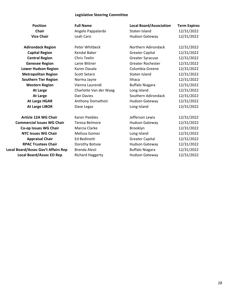### **Legislative Steering Committee**

| <b>Position</b>                     | <b>Full Name</b>        | <b>Local Board/Association</b> | <b>Term Expires</b> |
|-------------------------------------|-------------------------|--------------------------------|---------------------|
| <b>Chair</b>                        | Angelo Pappalardo       | Staten Island                  | 12/31/2022          |
| <b>Vice Chair</b>                   | Leah Caro               | Hudson Gateway                 | 12/31/2022          |
| <b>Adirondack Region</b>            | Peter Whitbeck          | Northern Adirondack            | 12/31/2022          |
| <b>Capital Region</b>               | <b>Kendal Baker</b>     | <b>Greater Capital</b>         | 12/31/2022          |
| <b>Central Region</b>               | Chris Teelin            | <b>Greater Syracuse</b>        | 12/31/2022          |
| <b>Genesee Region</b>               | Lanie Bittner           | <b>Greater Rochester</b>       | 12/31/2022          |
| <b>Lower Hudson Region</b>          | Karen Davala            | Columbia Greene                | 12/31/2022          |
| <b>Metropolitan Region</b>          | <b>Scott Setaro</b>     | Staten Island                  | 12/31/2022          |
| <b>Southern Tier Region</b>         | Norma Jayne             | Ithaca                         | 12/31/2022          |
| <b>Western Region</b>               | Vienna Laurendi         | <b>Buffalo Niagara</b>         | 12/31/2022          |
| <b>At Large</b>                     | Charlotte Van der Waag  | Long Island                    | 12/31/2022          |
| <b>At Large</b>                     | Dan Davies              | Southern Adirondack            | 12/31/2022          |
| <b>At Large HGAR</b>                | Anthony Domathoti       | Hudson Gateway                 | 12/31/2022          |
| <b>At Large LIBOR</b>               | Dave Legaz              | Long Island                    | 12/31/2022          |
| <b>Article 12A WG Chair</b>         | <b>Karen Peebles</b>    | Jefferson Lewis                | 12/31/2022          |
| <b>Commercial Issues WG Chair</b>   | Teresa Belmore          | <b>Hudson Gateway</b>          | 12/31/2022          |
| Co-op Issues WG Chair               | Marcia Clarke           | Brooklyn                       | 12/31/2022          |
| <b>NYC Issues WG Chair</b>          | Melissa Gomez           | Long Island                    | 12/31/2022          |
| <b>Appraisal Chair</b>              | Ed Bedinotti            | <b>Greater Capital</b>         | 12/31/2022          |
| <b>RPAC Trustees Chair</b>          | Dorothy Botsoe          | <b>Hudson Gateway</b>          | 12/31/2022          |
| Local Board/Assoc Gov't Affairs Rep | Brenda Alesii           | <b>Buffalo Niagara</b>         | 12/31/2022          |
| <b>Local Board/Assoc EO Rep</b>     | <b>Richard Haggerty</b> | <b>Hudson Gateway</b>          | 12/31/2022          |
|                                     |                         |                                |                     |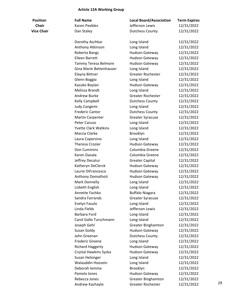### **Article 12A Working Group**

| <b>Position</b>   | <b>Full Name</b>            | <b>Local Board/Association</b> | <b>Term Expires</b> |    |
|-------------------|-----------------------------|--------------------------------|---------------------|----|
| <b>Chair</b>      | <b>Karen Peebles</b>        | Jefferson Lewis                | 12/31/2022          |    |
| <b>Vice Chair</b> | Dan Staley                  | <b>Dutchess County</b>         | 12/31/2022          |    |
|                   |                             |                                |                     |    |
|                   | Dorothy Aschkar             | Long Island                    | 12/31/2022          |    |
|                   | Anthony Atkinson            | Long Island                    | 12/31/2022          |    |
|                   | Roberta Bangs               | Hudson Gateway                 | 12/31/2022          |    |
|                   | Eileen Barrett              | Hudson Gateway                 | 12/31/2022          |    |
|                   | Tammy Teresa Belmore        | Hudson Gateway                 | 12/31/2022          |    |
|                   | Gina Marie Bettenhauser     | Long Island                    | 12/31/2022          |    |
|                   | Elayna Bittner              | <b>Greater Rochester</b>       | 12/31/2022          |    |
|                   | Glenn Boggia                | Long Island                    | 12/31/2022          |    |
|                   | Kazuko Boylan               | Hudson Gateway                 | 12/31/2022          |    |
|                   | Melissa Brandt              | Long Island                    | 12/31/2022          |    |
|                   | <b>Andrew Burke</b>         | <b>Greater Rochester</b>       | 12/31/2022          |    |
|                   | Kelly Campbell              | <b>Dutchess County</b>         | 12/31/2022          |    |
|                   | Judy Cangemi                | Long Island                    | 12/31/2022          |    |
|                   | <b>Frederic Cantor</b>      | <b>Dutchess County</b>         | 12/31/2022          |    |
|                   | <b>Martin Carpenter</b>     | <b>Greater Syracuse</b>        | 12/31/2022          |    |
|                   | Peter Caruso                | Long Island                    | 12/31/2022          |    |
|                   | <b>Yvette Clark Watkins</b> | Long Island                    | 12/31/2022          |    |
|                   | Marcia Clarke               | Brooklyn                       | 12/31/2022          |    |
|                   | Laura Copersino             | Long Island                    | 12/31/2022          |    |
|                   | <b>Theresa Crozier</b>      | Hudson Gateway                 | 12/31/2022          |    |
|                   | Don Cummins                 | Columbia Greene                | 12/31/2022          |    |
|                   | Karen Davala                | Columbia Greene                | 12/31/2022          |    |
|                   | Jeffrey Decatur             | <b>Greater Capital</b>         | 12/31/2022          |    |
|                   | Katheryn DeClerck           | Hudson Gateway                 | 12/31/2022          |    |
|                   | Laurie DiFrancesco          | <b>Hudson Gateway</b>          | 12/31/2022          |    |
|                   | Anthony Domathoti           | <b>Hudson Gateway</b>          | 12/31/2022          |    |
|                   | <b>Mark Donnelly</b>        | Long Island                    | 12/31/2022          |    |
|                   | Lisbeth English             | Long Island                    | 12/31/2022          |    |
|                   | Annette Fachko              | <b>Buffalo Niagara</b>         | 12/31/2022          |    |
|                   | Sandra Farrands             | <b>Greater Syracuse</b>        | 12/31/2022          |    |
|                   | Evelyn Fasulo               | Long Island                    | 12/31/2022          |    |
|                   | Linda Fields                | Jefferson Lewis                | 12/31/2022          |    |
|                   | Barbara Ford                | Long Island                    | 12/31/2022          |    |
|                   | Carol Gallo Turschmann      | Long Island                    | 12/31/2022          |    |
|                   | Joseph Gehl                 | <b>Greater Binghamton</b>      | 12/31/2022          |    |
|                   | Susan Goldy                 | Hudson Gateway                 | 12/31/2022          |    |
|                   | John Greenan                | <b>Dutchess County</b>         | 12/31/2022          |    |
|                   | <b>Frederic Greene</b>      | Long Island                    | 12/31/2022          |    |
|                   | <b>Richard Haggerty</b>     | <b>Hudson Gateway</b>          | 12/31/2022          |    |
|                   | Crystal Hawkins Syska       | <b>Hudson Gateway</b>          | 12/31/2022          |    |
|                   | Susan Helsinger             | Long Island                    | 12/31/2022          |    |
|                   | Walauddin Hoosein           | Long Island                    | 12/31/2022          |    |
|                   | Deborah lemma               | Brooklyn                       | 12/31/2022          |    |
|                   | Pamela Jones                | Hudson Gateway                 | 12/31/2022          |    |
|                   | Rebecca Jones               | <b>Greater Binghamton</b>      | 12/31/2022          |    |
|                   | Andrew Kachaylo             | Greater Rochester              | 12/31/2022          | 29 |
|                   |                             |                                |                     |    |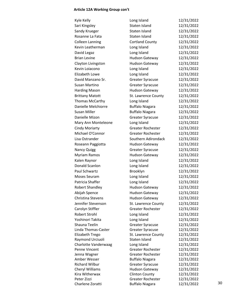### **Article 12A Working Group con't**

| Kyle Kelly                        | Long Island                                       | 12/31/2022               |    |
|-----------------------------------|---------------------------------------------------|--------------------------|----|
| Sari Kingsley                     | Staten Island                                     | 12/31/2022               |    |
| Sandy Krueger                     | Staten Island                                     | 12/31/2022               |    |
| Rosanne La Fata                   | Staten Island                                     | 12/31/2022               |    |
| <b>Colleen Lanning</b>            | <b>Cortland County</b>                            | 12/31/2022               |    |
| Kevin Leatherman                  | Long Island                                       | 12/31/2022               |    |
| David Legaz                       | Long Island                                       | 12/31/2022               |    |
| <b>Brian Levine</b>               | <b>Hudson Gateway</b>                             | 12/31/2022               |    |
| Clayton Livingston                | <b>Hudson Gateway</b>                             | 12/31/2022               |    |
| Kevin Loiacono                    | Long Island                                       | 12/31/2022               |    |
| Elizabeth Lowe                    | Long Island                                       | 12/31/2022               |    |
| David Manzano Sr.                 | <b>Greater Syracuse</b>                           | 12/31/2022               |    |
| Susan Martino                     | <b>Greater Syracuse</b>                           | 12/31/2022               |    |
| <b>Harding Mason</b>              | <b>Hudson Gateway</b>                             | 12/31/2022               |    |
| <b>Brittany Matott</b>            | St. Lawrence County                               | 12/31/2022               |    |
|                                   |                                                   | 12/31/2022               |    |
| Thomas McCarthy                   | Long Island                                       |                          |    |
| Danielle Melchiorre               | <b>Buffalo Niagara</b>                            | 12/31/2022               |    |
| <b>Susan Miller</b>               | <b>Buffalo Niagara</b>                            | 12/31/2022               |    |
| Danielle Mizon                    | Greater Syracuse                                  | 12/31/2022               |    |
| Mary Ann Monteleone               | Long Island                                       | 12/31/2022               |    |
| <b>Cindy Moriarty</b>             | <b>Greater Rochester</b>                          | 12/31/2022               |    |
| Michael O'Connor                  | <b>Greater Rochester</b>                          | 12/31/2022               |    |
| Lisa Ostrander                    | Southern Adirondack                               | 12/31/2022               |    |
| Roseann Paggiotta                 | <b>Hudson Gateway</b>                             | 12/31/2022               |    |
| <b>Nancy Quigg</b>                | <b>Greater Syracuse</b>                           | 12/31/2022               |    |
| <b>Myriam Ramos</b>               | <b>Hudson Gateway</b>                             | 12/31/2022               |    |
| Kalen Raynor                      | Long Island                                       | 12/31/2022               |    |
| Donald Scanlon                    | Long Island                                       | 12/31/2022               |    |
| Paul Schwartz                     | Brooklyn                                          | 12/31/2022               |    |
| Moses Seuram                      | Long Island                                       | 12/31/2022               |    |
| Patricia Shaffer                  | Long Island                                       | 12/31/2022               |    |
| <b>Robert Shandley</b>            | <b>Hudson Gateway</b>                             | 12/31/2022               |    |
| Abijah Spence                     | <b>Hudson Gateway</b>                             | 12/31/2022               |    |
| Christina Stevens                 | <b>Hudson Gateway</b>                             | 12/31/2022               |    |
| Jennifer Stevenson                | St. Lawrence County                               | 12/31/2022               |    |
| Carolyn Stiffler                  | <b>Greater Rochester</b>                          | 12/31/2022               |    |
| Robert Strohl                     | Long Island                                       | 12/31/2022               |    |
| Yoshinori Takita                  | Long Island                                       | 12/31/2022               |    |
| Shauna Teelin                     | <b>Greater Syracuse</b>                           | 12/31/2022               |    |
| Linda Thomas-Caster               | <b>Greater Syracuse</b>                           | 12/31/2022               |    |
| Elizabeth Trego                   | St. Lawrence County                               | 12/31/2022               |    |
| Raymond Urciuoli                  | Staten Island                                     | 12/31/2022               |    |
| Charlotte Vanderwaag              | Long Island                                       | 12/31/2022               |    |
| Penne Vincent                     | <b>Greater Rochester</b>                          | 12/31/2022               |    |
| Jenna Wagner                      | <b>Greater Rochester</b>                          | 12/31/2022               |    |
| Amber Wesser                      | <b>Buffalo Niagara</b>                            | 12/31/2022               |    |
| <b>Richard Wilbur</b>             | <b>Greater Syracuse</b>                           | 12/31/2022               |    |
| Cheryl Williams<br>Kira Witherwax | <b>Hudson Gateway</b>                             | 12/31/2022               |    |
| Peter Zizzi                       | <b>Clinton County</b><br><b>Greater Rochester</b> | 12/31/2022<br>12/31/2022 |    |
| Charlene Zoratti                  | <b>Buffalo Niagara</b>                            | 12/31/2022               | 30 |
|                                   |                                                   |                          |    |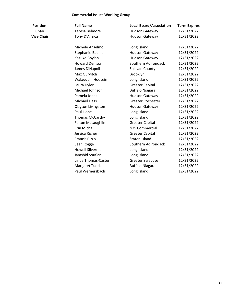#### **Commercial Issues Working Group**

| <b>Position</b>   | <b>Full Name</b>        | <b>Local Board/Association</b> | <b>Term Expires</b> |
|-------------------|-------------------------|--------------------------------|---------------------|
| <b>Chair</b>      | Teresa Belmore          | Hudson Gateway                 | 12/31/2022          |
| <b>Vice Chair</b> | Tony D'Anzica           | <b>Hudson Gateway</b>          | 12/31/2022          |
|                   | Michele Anselmo         | Long Island                    | 12/31/2022          |
|                   | Stephanie Badillo       | <b>Hudson Gateway</b>          | 12/31/2022          |
|                   | Kazuko Boylan           | Hudson Gateway                 | 12/31/2022          |
|                   | <b>Howard Denison</b>   | Southern Adirondack            | 12/31/2022          |
|                   | James DiNapoli          | <b>Sullivan County</b>         | 12/31/2022          |
|                   | Max Gurvitch            | Brooklyn                       | 12/31/2022          |
|                   | Walauddin Hoosein       | Long Island                    | 12/31/2022          |
|                   | Laura Hyler             | <b>Greater Capital</b>         | 12/31/2022          |
|                   | Michael Johnson         | <b>Buffalo Niagara</b>         | 12/31/2022          |
|                   | Pamela Jones            | <b>Hudson Gateway</b>          | 12/31/2022          |
|                   | <b>Michael Liess</b>    | <b>Greater Rochester</b>       | 12/31/2022          |
|                   | Clayton Livingston      | <b>Hudson Gateway</b>          | 12/31/2022          |
|                   | Paul Llobell            | Long Island                    | 12/31/2022          |
|                   | Thomas McCarthy         | Long Island                    | 12/31/2022          |
|                   | Felton McLaughlin       | <b>Greater Capital</b>         | 12/31/2022          |
|                   | Erin Micha              | <b>NYS Commercial</b>          | 12/31/2022          |
|                   | Jessica Richer          | <b>Greater Capital</b>         | 12/31/2022          |
|                   | <b>Francis Rizzo</b>    | Staten Island                  | 12/31/2022          |
|                   | Sean Rogge              | Southern Adirondack            | 12/31/2022          |
|                   | <b>Howell Silverman</b> | Long Island                    | 12/31/2022          |
|                   | Jamshid Soufian         | Long Island                    | 12/31/2022          |
|                   | Linda Thomas-Caster     | <b>Greater Syracuse</b>        | 12/31/2022          |
|                   | <b>Margaret Tuerk</b>   | <b>Buffalo Niagara</b>         | 12/31/2022          |
|                   | Paul Wernersbach        | Long Island                    | 12/31/2022          |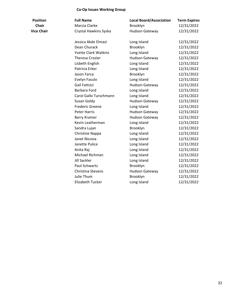#### **Co-Op Issues Working Group**

| <b>Position</b> | <b>Full Name</b>      | <b>Local Board/Association</b> | <b>Term Expires</b> |
|-----------------|-----------------------|--------------------------------|---------------------|
| <b>Chair</b>    | Marcia Clarke         | <b>Brooklyn</b>                | 12/31/2022          |
| Vice Chair      | Crystal Hawkins Syska | Hudson Gateway                 | 12/31/2022          |

|                   |                             |                       | . <b>.</b> |
|-------------------|-----------------------------|-----------------------|------------|
| <b>Chair</b>      | Marcia Clarke               | Brooklyn              | 12/31/2022 |
| <b>Vice Chair</b> | Crystal Hawkins Syska       | <b>Hudson Gateway</b> | 12/31/2022 |
|                   | Jessica Akde Elmazi         | Long Island           | 12/31/2022 |
|                   | Dean Churack                | Brooklyn              | 12/31/2022 |
|                   | <b>Yvette Clark Watkins</b> | Long Island           | 12/31/2022 |
|                   | <b>Theresa Crozier</b>      | <b>Hudson Gateway</b> | 12/31/2022 |
|                   | Lisbeth English             | Long Island           | 12/31/2022 |
|                   | Patricia Erker              | Long Island           | 12/31/2022 |
|                   | Jason Farca                 | Brooklyn              | 12/31/2022 |
|                   | Evelyn Fasulo               | Long Island           | 12/31/2022 |
|                   | Gail Fattizzi               | <b>Hudson Gateway</b> | 12/31/2022 |
|                   | Barbara Ford                | Long Island           | 12/31/2022 |
|                   | Carol Gallo Turschmann      | Long Island           | 12/31/2022 |
|                   | Susan Goldy                 | <b>Hudson Gateway</b> | 12/31/2022 |
|                   | <b>Frederic Greene</b>      | Long Island           | 12/31/2022 |
|                   | <b>Peter Harris</b>         | <b>Hudson Gateway</b> | 12/31/2022 |
|                   | <b>Barry Kramer</b>         | <b>Hudson Gateway</b> | 12/31/2022 |
|                   | Kevin Leatherman            | Long Island           | 12/31/2022 |
|                   | Sandra Lujan                | Brooklyn              | 12/31/2022 |
|                   | Christine Nappa             | Long Island           | 12/31/2022 |
|                   | Janet Nicosia               | Long Island           | 12/31/2022 |
|                   | Janette Pulice              | Long Island           | 12/31/2022 |
|                   | Anita Raj                   | Long Island           | 12/31/2022 |
|                   | Michael Richman             | Long Island           | 12/31/2022 |
|                   | <b>Jill Sackler</b>         | Long Island           | 12/31/2022 |
|                   | Paul Schwartz               | Brooklyn              | 12/31/2022 |
|                   | Christina Stevens           | <b>Hudson Gateway</b> | 12/31/2022 |
|                   | Julie Thum                  | Brooklyn              | 12/31/2022 |
|                   | Elizabeth Tucker            | Long Island           | 12/31/2022 |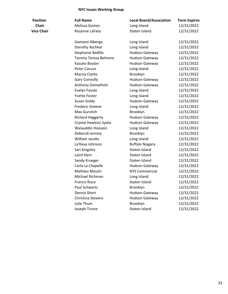#### **NYC Issues Working Group**

| <b>Full Name</b> |
|------------------|
| Melissa Gomez    |
| Rosanne LaFata   |
| Gaetano Alberga  |
| Dorothy Aschkar  |

| <b>Position</b>   | <b>Full Name</b>        | <b>Local Board/Association</b> | <b>Term Expires</b> |
|-------------------|-------------------------|--------------------------------|---------------------|
| <b>Chair</b>      | Melissa Gomez           | Long Island                    | 12/31/2022          |
| <b>Vice Chair</b> | Rosanne LaFata          | Staten Island                  | 12/31/2022          |
|                   | Gaetano Alberga         | Long Island                    | 12/31/2022          |
|                   | Dorothy Aschkar         | Long Island                    | 12/31/2022          |
|                   | Stephanie Badillo       | <b>Hudson Gateway</b>          | 12/31/2022          |
|                   | Tammy Teresa Belmore    | <b>Hudson Gateway</b>          | 12/31/2022          |
|                   | Kazuko Boylan           | Hudson Gateway                 | 12/31/2022          |
|                   | Peter Caruso            | Long Island                    | 12/31/2022          |
|                   | Marcia Clarke           | Brooklyn                       | 12/31/2022          |
|                   | <b>Gary Connolly</b>    | Hudson Gateway                 | 12/31/2022          |
|                   | Anthony Domathoti       | <b>Hudson Gateway</b>          | 12/31/2022          |
|                   | Evelyn Fasulo           | Long Island                    | 12/31/2022          |
|                   | <b>Yvette Foster</b>    | Long Island                    | 12/31/2022          |
|                   | Susan Goldy             | Hudson Gateway                 | 12/31/2022          |
|                   | <b>Frederic Greene</b>  | Long Island                    | 12/31/2022          |
|                   | Max Gurvitch            | Brooklyn                       | 12/31/2022          |
|                   | <b>Richard Haggerty</b> | <b>Hudson Gateway</b>          | 12/31/2022          |
|                   | Crystal Hawkins Syska   | Hudson Gateway                 | 12/31/2022          |
|                   | Walauddin Hoosein       | Long Island                    | 12/31/2022          |
|                   | Deborah lemma           | Brooklyn                       | 12/31/2022          |
|                   | William Jacobs          | Long Island                    | 12/31/2022          |
|                   | La'Keya Johnson         | <b>Buffalo Niagara</b>         | 12/31/2022          |
|                   | Sari Kingsley           | Staten Island                  | 12/31/2022          |
|                   | Laird Klein             | Staten Island                  | 12/31/2022          |
|                   | Sandy Krueger           | Staten Island                  | 12/31/2022          |
|                   | Carla La Chapelle       | <b>Hudson Gateway</b>          | 12/31/2022          |
|                   | Mathieu Moulin          | <b>NYS Commercial</b>          | 12/31/2022          |
|                   | Michael Richman         | Long Island                    | 12/31/2022          |
|                   | <b>Francis Rizzo</b>    | Staten Island                  | 12/31/2022          |
|                   | Paul Schwartz           | Brooklyn                       | 12/31/2022          |
|                   | Dennis Short            | Hudson Gateway                 | 12/31/2022          |
|                   | Christina Stevens       | <b>Hudson Gateway</b>          | 12/31/2022          |
|                   | Julie Thum              | Brooklyn                       | 12/31/2022          |
|                   | Joseph Tirone           | Staten Island                  | 12/31/2022          |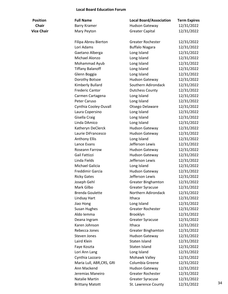#### **Local Board Education Forum**

| <b>Full Name</b> |
|------------------|
| Barry Kramer     |
| Mary Peyton      |

| <b>Position</b>   | <b>Full Name</b>          | <b>Local Board/Association</b>      | <b>Term Expires</b>      |    |
|-------------------|---------------------------|-------------------------------------|--------------------------|----|
| <b>Chair</b>      | <b>Barry Kramer</b>       | <b>Hudson Gateway</b>               | 12/31/2022               |    |
| <b>Vice Chair</b> | Mary Peyton               | <b>Greater Capital</b>              | 12/31/2022               |    |
|                   | Filipa Abreu Bierton      | <b>Greater Rochester</b>            | 12/31/2022               |    |
|                   | Lori Adams                | <b>Buffalo Niagara</b>              | 12/31/2022               |    |
|                   | Gaetano Alberga           | Long Island                         | 12/31/2022               |    |
|                   | Michael Alonzo            | Long Island                         | 12/31/2022               |    |
|                   | Mohammad Ayub             | Long Island                         | 12/31/2022               |    |
|                   | <b>Tiffany Balanoff</b>   | Long Island                         | 12/31/2022               |    |
|                   | Glenn Boggia              | Long Island                         | 12/31/2022               |    |
|                   | Dorothy Botsoe            | Hudson Gateway                      | 12/31/2022               |    |
|                   | Kimberly Bullard          | Southern Adirondack                 | 12/31/2022               |    |
|                   | <b>Frederic Cantor</b>    | <b>Dutchess County</b>              | 12/31/2022               |    |
|                   | Carmen Cartagena          | Long Island                         | 12/31/2022               |    |
|                   | Peter Caruso              | Long Island                         | 12/31/2022               |    |
|                   | Cynthia Cooley-Duvall     | Otsego Delaware                     | 12/31/2022               |    |
|                   | Laura Copersino           | Long Island                         | 12/31/2022               |    |
|                   | Gisella Craig             | Long Island                         | 12/31/2022               |    |
|                   | Linda DAmico              | Long Island                         | 12/31/2022               |    |
|                   | Katheryn DeClerck         | Hudson Gateway                      | 12/31/2022               |    |
|                   | Laurie DiFrancesco        | <b>Hudson Gateway</b>               | 12/31/2022               |    |
|                   | <b>Anthony Ellis</b>      | Long Island                         | 12/31/2022               |    |
|                   | Lance Evans               | Jefferson Lewis                     | 12/31/2022               |    |
|                   | Roseann Farrow            | Hudson Gateway                      | 12/31/2022               |    |
|                   | Gail Fattizzi             | <b>Hudson Gateway</b>               | 12/31/2022               |    |
|                   | Linda Fields              | Jefferson Lewis                     | 12/31/2022               |    |
|                   | Michael Galicia           | Long Island                         | 12/31/2022               |    |
|                   | Freddimir Garcia          | <b>Hudson Gateway</b>               | 12/31/2022               |    |
|                   | <b>Ricky Gates</b>        | Jefferson Lewis                     | 12/31/2022               |    |
|                   | Joseph Gehl               | <b>Greater Binghamton</b>           | 12/31/2022               |    |
|                   | Mark Gilbo                | <b>Greater Syracuse</b>             | 12/31/2022               |    |
|                   | <b>Brenda Goulette</b>    | Northern Adirondack                 | 12/31/2022               |    |
|                   | Lindsay Hart              | Ithaca                              | 12/31/2022               |    |
|                   | Jiao Hong                 | Long Island                         | 12/31/2022               |    |
|                   | Susan Hughes              | Greater Rochester                   | 12/31/2022               |    |
|                   | Aldo Iemma                | Brooklyn                            | 12/31/2022               |    |
|                   | Deana Ingram              | <b>Greater Syracuse</b>             | 12/31/2022               |    |
|                   | Karen Johnson             | Ithaca                              | 12/31/2022               |    |
|                   | Rebecca Jones             | <b>Greater Binghamton</b>           | 12/31/2022               |    |
|                   | Steven Jones              | <b>Hudson Gateway</b>               | 12/31/2022               |    |
|                   | Laird Klein               | Staten Island                       | 12/31/2022               |    |
|                   | Faye Koszta               | Staten Island                       | 12/31/2022               |    |
|                   | Lori Ann Lang             | Long Island                         | 12/31/2022               |    |
|                   | Cynthia Lazzaro           | Mohawk Valley                       | 12/31/2022               |    |
|                   | Maria Lull, ABR, CRS, GRI | Columbia Greene                     | 12/31/2022               |    |
|                   | Ann Mackend               |                                     |                          |    |
|                   | Jeremias Maneiro          | Hudson Gateway<br>Greater Rochester | 12/31/2022<br>12/31/2022 |    |
|                   | Natalie Martin            |                                     | 12/31/2022               |    |
|                   |                           | <b>Greater Syracuse</b>             |                          | 34 |
|                   | <b>Brittany Matott</b>    | St. Lawrence County                 | 12/31/2022               |    |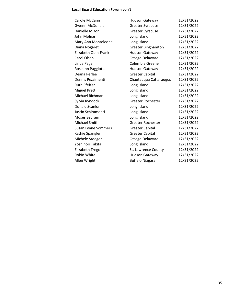### **Local Board Education Forum con't**

| Carole McCann         | <b>Hudson Gateway</b>     | 12/31/2022 |
|-----------------------|---------------------------|------------|
| <b>Gwenn McDonald</b> | <b>Greater Syracuse</b>   | 12/31/2022 |
| Danielle Mizon        | <b>Greater Syracuse</b>   | 12/31/2022 |
| John Molnar           | Long Island               | 12/31/2022 |
| Mary Ann Monteleone   | Long Island               | 12/31/2022 |
| Diana Nogaret         | <b>Greater Binghamton</b> | 12/31/2022 |
| Elizabeth Obih-Frank  | <b>Hudson Gateway</b>     | 12/31/2022 |
| Carol Olsen           | Otsego Delaware           | 12/31/2022 |
| Linda Page            | Columbia Greene           | 12/31/2022 |
| Roseann Paggiotta     | <b>Hudson Gateway</b>     | 12/31/2022 |
| Deana Perlee          | <b>Greater Capital</b>    | 12/31/2022 |
| Dennis Pezzimenti     | Chautauqua Cattaraugus    | 12/31/2022 |
| <b>Ruth Pfeffer</b>   | Long Island               | 12/31/2022 |
| Miguel Pretti         | Long Island               | 12/31/2022 |
| Michael Richman       | Long Island               | 12/31/2022 |
| Sylvia Ryndock        | Greater Rochester         | 12/31/2022 |
| Donald Scanlon        | Long Island               | 12/31/2022 |
| Justin Schimmenti     | Long Island               | 12/31/2022 |
| Moses Seuram          | Long Island               | 12/31/2022 |
| Michael Smith         | <b>Greater Rochester</b>  | 12/31/2022 |
| Susan Lynne Sommers   | <b>Greater Capital</b>    | 12/31/2022 |
| Kathie Spangler       | <b>Greater Capital</b>    | 12/31/2022 |
| Michele Stoeger       | Otsego Delaware           | 12/31/2022 |
| Yoshinori Takita      | Long Island               | 12/31/2022 |
| Elizabeth Trego       | St. Lawrence County       | 12/31/2022 |
| Robin White           | <b>Hudson Gateway</b>     | 12/31/2022 |
| Allen Wright          | <b>Buffalo Niagara</b>    | 12/31/2022 |
|                       |                           |            |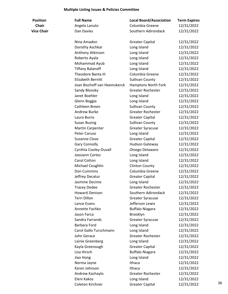# **Multiple Listing Issues & Policies Committee**

| <b>Position</b>   | <b>Full Name</b>             | <b>Local Board/Association</b> | <b>Term Expires</b> |    |
|-------------------|------------------------------|--------------------------------|---------------------|----|
| <b>Chair</b>      | Angela Lanuto                | Columbia Greene                | 12/31/2022          |    |
| <b>Vice Chair</b> | Dan Davies                   | Southern Adirondack            | 12/31/2022          |    |
|                   | Nina Amadon                  | <b>Greater Capital</b>         | 12/31/2022          |    |
|                   | Dorothy Aschkar              | Long Island                    | 12/31/2022          |    |
|                   | Anthony Atkinson             | Long Island                    | 12/31/2022          |    |
|                   | Roberto Ayala                | Long Island                    | 12/31/2022          |    |
|                   | Mohammad Ayub                | Long Island                    | 12/31/2022          |    |
|                   | <b>Tiffany Balanoff</b>      | Long Island                    | 12/31/2022          |    |
|                   | Theodore Banta III           | Columbia Greene                | 12/31/2022          |    |
|                   | Elizabeth Bernitt            | <b>Sullivan County</b>         | 12/31/2022          |    |
|                   | Joan Bischoff van Heemskerck | Hamptons North Fork            | 12/31/2022          |    |
|                   | Sandy Blonsky                | <b>Greater Rochester</b>       | 12/31/2022          |    |
|                   | Janet Boehler                | Long Island                    | 12/31/2022          |    |
|                   | Glenn Boggia                 | Long Island                    | 12/31/2022          |    |
|                   | Cathleen Breen               | <b>Sullivan County</b>         | 12/31/2022          |    |
|                   | Andrew Burke                 | <b>Greater Rochester</b>       | 12/31/2022          |    |
|                   | Laura Burns                  | <b>Greater Capital</b>         | 12/31/2022          |    |
|                   | <b>Susan Busing</b>          | <b>Sullivan County</b>         | 12/31/2022          |    |
|                   | <b>Martin Carpenter</b>      | <b>Greater Syracuse</b>        | 12/31/2022          |    |
|                   | Peter Caruso                 | Long Island                    | 12/31/2022          |    |
|                   | Suzanne Close                | <b>Greater Capital</b>         | 12/31/2022          |    |
|                   | <b>Gary Connolly</b>         | Hudson Gateway                 | 12/31/2022          |    |
|                   | Cynthia Cooley-Duvall        | Otsego Delaware                | 12/31/2022          |    |
|                   | Joesiann Cortez              | Long Island                    | 12/31/2022          |    |
|                   | Carol Cotton                 | Long Island                    | 12/31/2022          |    |
|                   | Michael Coughlin             | <b>Clinton County</b>          | 12/31/2022          |    |
|                   | Don Cummins                  | Columbia Greene                | 12/31/2022          |    |
|                   | Jeffrey Decatur              | <b>Greater Capital</b>         | 12/31/2022          |    |
|                   | Jasmine Decime               | Long Island                    | 12/31/2022          |    |
|                   | <b>Tracey Dedee</b>          | <b>Greater Rochester</b>       | 12/31/2022          |    |
|                   | <b>Howard Denison</b>        | Southern Adirondack            | 12/31/2022          |    |
|                   | Terri Dillon                 | <b>Greater Syracuse</b>        | 12/31/2022          |    |
|                   | Lance Evans                  | Jefferson Lewis                | 12/31/2022          |    |
|                   | Annette Fachko               | <b>Buffalo Niagara</b>         | 12/31/2022          |    |
|                   | Jason Farca                  | Brooklyn                       | 12/31/2022          |    |
|                   | Sandra Farrands              | <b>Greater Syracuse</b>        | 12/31/2022          |    |
|                   | Barbara Ford                 | Long Island                    | 12/31/2022          |    |
|                   | Carol Gallo Turschmann       | Long Island                    | 12/31/2022          |    |
|                   | John Gerace                  | <b>Greater Rochester</b>       | 12/31/2022          |    |
|                   | Lainie Greenberg             | Long Island                    | 12/31/2022          |    |
|                   | Kayla Greenough              | <b>Greater Capital</b>         | 12/31/2022          |    |
|                   | Lisa Hirsch                  | <b>Buffalo Niagara</b>         | 12/31/2022          |    |
|                   | Jiao Hong                    | Long Island                    | 12/31/2022          |    |
|                   | Norma Jayne                  | Ithaca                         | 12/31/2022          |    |
|                   | Karen Johnson                | Ithaca                         | 12/31/2022          |    |
|                   | Andrew Kachaylo              | Greater Rochester              | 12/31/2022          |    |
|                   | Eleni Kakos                  | Long Island                    | 12/31/2022          |    |
|                   | Coleton Kirchner             | <b>Greater Capital</b>         | 12/31/2022          | 36 |
|                   |                              |                                |                     |    |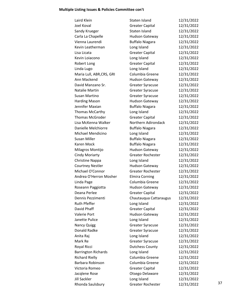# **Multiple Listing Issues & Policies Committee con't**

| <b>Greater Capital</b>   | 12/31/2022    |            |
|--------------------------|---------------|------------|
| Staten Island            | 12/31/2022    |            |
| Hudson Gateway           | 12/31/2022    |            |
| <b>Buffalo Niagara</b>   | 12/31/2022    |            |
| Long Island              | 12/31/2022    |            |
| <b>Greater Capital</b>   | 12/31/2022    |            |
| Long Island              | 12/31/2022    |            |
| <b>Greater Capital</b>   | 12/31/2022    |            |
| Long Island              | 12/31/2022    |            |
| Columbia Greene          | 12/31/2022    |            |
| Hudson Gateway           | 12/31/2022    |            |
| <b>Greater Syracuse</b>  | 12/31/2022    |            |
| <b>Greater Syracuse</b>  | 12/31/2022    |            |
| <b>Greater Syracuse</b>  | 12/31/2022    |            |
| Hudson Gateway           | 12/31/2022    |            |
| <b>Buffalo Niagara</b>   | 12/31/2022    |            |
| Long Island              | 12/31/2022    |            |
| <b>Greater Capital</b>   | 12/31/2022    |            |
| Northern Adirondack      | 12/31/2022    |            |
| <b>Buffalo Niagara</b>   | 12/31/2022    |            |
| Long Island              | 12/31/2022    |            |
| <b>Buffalo Niagara</b>   | 12/31/2022    |            |
| <b>Buffalo Niagara</b>   | 12/31/2022    |            |
| Hudson Gateway           | 12/31/2022    |            |
| <b>Greater Rochester</b> | 12/31/2022    |            |
| Long Island              | 12/31/2022    |            |
| Hudson Gateway           | 12/31/2022    |            |
| <b>Greater Rochester</b> | 12/31/2022    |            |
| <b>Elmira Corning</b>    | 12/31/2022    |            |
| Columbia Greene          | 12/31/2022    |            |
| <b>Hudson Gateway</b>    | 12/31/2022    |            |
| <b>Greater Capital</b>   | 12/31/2022    |            |
| Chautauqua Cattaraugus   | 12/31/2022    |            |
| Long Island              | 12/31/2022    |            |
| <b>Greater Capital</b>   | 12/31/2022    |            |
| <b>Hudson Gateway</b>    | 12/31/2022    |            |
| Long Island              | 12/31/2022    |            |
| <b>Greater Syracuse</b>  | 12/31/2022    |            |
| <b>Greater Syracuse</b>  | 12/31/2022    |            |
| Long Island              | 12/31/2022    |            |
| <b>Greater Syracuse</b>  | 12/31/2022    |            |
| <b>Dutchess County</b>   | 12/31/2022    |            |
| Long Island              | 12/31/2022    |            |
| Columbia Greene          | 12/31/2022    |            |
| Columbia Greene          | 12/31/2022    |            |
| <b>Greater Capital</b>   | 12/31/2022    |            |
| Otsego Delaware          | 12/31/2022    |            |
| Long Island              | 12/31/2022    |            |
| Greater Rochester        | 12/31/2022    | 37         |
|                          | Staten Island | 12/31/2022 |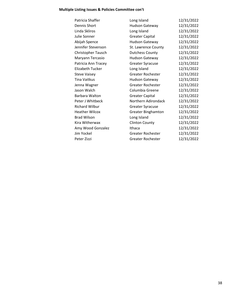# **Multiple Listing Issues & Policies Committee con't**

| Patricia Shaffer        | Long Island               | 12/31/2022 |
|-------------------------|---------------------------|------------|
| Dennis Short            | <b>Hudson Gateway</b>     | 12/31/2022 |
| Linda Skliros           | Long Island               | 12/31/2022 |
| Julie Sonner            | <b>Greater Capital</b>    | 12/31/2022 |
| Abijah Spence           | <b>Hudson Gateway</b>     | 12/31/2022 |
| Jennifer Stevenson      | St. Lawrence County       | 12/31/2022 |
| Christopher Tausch      | <b>Dutchess County</b>    | 12/31/2022 |
| Maryann Tercasio        | <b>Hudson Gateway</b>     | 12/31/2022 |
| Patricia Ann Tracey     | <b>Greater Syracuse</b>   | 12/31/2022 |
| <b>Elizabeth Tucker</b> | Long Island               | 12/31/2022 |
| <b>Steve Vaisey</b>     | Greater Rochester         | 12/31/2022 |
| Tina Vaitkus            | Hudson Gateway            | 12/31/2022 |
| Jenna Wagner            | Greater Rochester         | 12/31/2022 |
| Jason Walch             | Columbia Greene           | 12/31/2022 |
| Barbara Walton          | <b>Greater Capital</b>    | 12/31/2022 |
| Peter J Whitbeck        | Northern Adirondack       | 12/31/2022 |
| <b>Richard Wilbur</b>   | <b>Greater Syracuse</b>   | 12/31/2022 |
| <b>Heather Wilcox</b>   | <b>Greater Binghamton</b> | 12/31/2022 |
| <b>Brad Wilson</b>      | Long Island               | 12/31/2022 |
| Kira Witherwax          | <b>Clinton County</b>     | 12/31/2022 |
| Amy Wood Gonzalez       | Ithaca                    | 12/31/2022 |
| Jim Yockel              | Greater Rochester         | 12/31/2022 |
| Peter Zizzi             | Greater Rochester         | 12/31/2022 |
|                         |                           |            |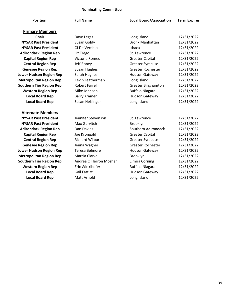### **Nominating Committee**

| <b>Position</b>                 | <b>Full Name</b>       | <b>Local Board/Association</b> | <b>Term Expires</b> |
|---------------------------------|------------------------|--------------------------------|---------------------|
| <b>Primary Members</b>          |                        |                                |                     |
| <b>Chair</b>                    | Dave Legaz             | Long Island                    | 12/31/2022          |
| <b>NYSAR Past President</b>     | Susan Goldy            | <b>Bronx Manhattan</b>         | 12/31/2022          |
| <b>NYSAR Past President</b>     | CJ DelVecchio          | Ithaca                         | 12/31/2022          |
| <b>Adirondack Region Rep</b>    | Liz Trego              | St. Lawrence                   | 12/31/2022          |
| <b>Capital Region Rep</b>       | Victoria Romeo         | <b>Greater Capital</b>         | 12/31/2022          |
| <b>Central Region Rep</b>       | Jeff Roney             | <b>Greater Syracuse</b>        | 12/31/2022          |
| <b>Genesee Region Rep</b>       | <b>Susan Hughes</b>    | <b>Greater Rochester</b>       | 12/31/2022          |
| <b>Lower Hudson Region Rep</b>  | Sarah Hughes           | Hudson Gateway                 | 12/31/2022          |
| <b>Metropolitan Region Rep</b>  | Kevin Leatherman       | Long Island                    | 12/31/2022          |
| <b>Southern Tier Region Rep</b> | <b>Robert Farrell</b>  | <b>Greater Binghamton</b>      | 12/31/2022          |
| <b>Western Region Rep</b>       | Mike Johnson           | <b>Buffalo Niagara</b>         | 12/31/2022          |
| <b>Local Board Rep</b>          | <b>Barry Kramer</b>    | <b>Hudson Gateway</b>          | 12/31/2022          |
| <b>Local Board Rep</b>          | Susan Helsinger        | Long Island                    | 12/31/2022          |
| <b>Alternate Members</b>        |                        |                                |                     |
| <b>NYSAR Past President</b>     | Jennifer Stevenson     | St. Lawrence                   | 12/31/2022          |
| <b>NYSAR Past President</b>     | Max Gurvitch           | Brooklyn                       | 12/31/2022          |
| <b>Adirondack Region Rep</b>    | Dan Davies             | Southern Adirondack            | 12/31/2022          |
| <b>Capital Region Rep</b>       | Joe Krongold           | <b>Greater Capital</b>         | 12/31/2022          |
| <b>Central Region Rep</b>       | <b>Richard Wilbur</b>  | <b>Greater Syracuse</b>        | 12/31/2022          |
| <b>Genesee Region Rep</b>       | Jenna Wagner           | <b>Greater Rochester</b>       | 12/31/2022          |
| <b>Lower Hudson Region Rep</b>  | Teresa Belmore         | <b>Hudson Gateway</b>          | 12/31/2022          |
| <b>Metropolitan Region Rep</b>  | Marcia Clarke          | Brooklyn                       | 12/31/2022          |
| <b>Southern Tier Region Rep</b> | Andrea O'Herron Mosher | <b>Elmira Corning</b>          | 12/31/2022          |
| <b>Western Region Rep</b>       | Eric Winklhofer        | <b>Buffalo Niagara</b>         | 12/31/2022          |
| <b>Local Board Rep</b>          | Gail Fattizzi          | <b>Hudson Gateway</b>          | 12/31/2022          |
| <b>Local Board Rep</b>          | <b>Matt Arnold</b>     | Long Island                    | 12/31/2022          |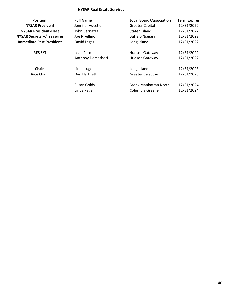### **NYSAR Real Estate Services**

| <b>Position</b>                  | <b>Full Name</b>  | <b>Local Board/Association</b> | <b>Term Expires</b> |
|----------------------------------|-------------------|--------------------------------|---------------------|
| <b>NYSAR President</b>           | Jennifer Vucetic  | <b>Greater Capital</b>         | 12/31/2022          |
| <b>NYSAR President-Elect</b>     | John Vernazza     | Staten Island                  | 12/31/2022          |
| <b>NYSAR Secretary/Treasurer</b> | Joe Rivellino     | <b>Buffalo Niagara</b>         | 12/31/2022          |
| <b>Immediate Past President</b>  | David Legaz       | Long Island                    | 12/31/2022          |
| <b>RES S/T</b>                   | Leah Caro         | <b>Hudson Gateway</b>          | 12/31/2022          |
|                                  | Anthony Domathoti | <b>Hudson Gateway</b>          | 12/31/2022          |
| <b>Chair</b>                     | Linda Lugo        | Long Island                    | 12/31/2023          |
| <b>Vice Chair</b>                | Dan Hartnett      | <b>Greater Syracuse</b>        | 12/31/2023          |
|                                  | Susan Goldy       | <b>Bronx Manhattan North</b>   | 12/31/2024          |
|                                  | Linda Page        | Columbia Greene                | 12/31/2024          |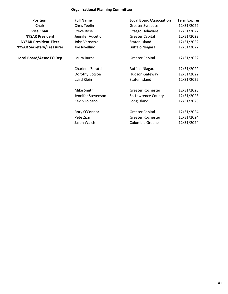### **Organizational Planning Committee**

| <b>Position</b>                  | <b>Full Name</b>   | <b>Local Board/Association</b> | <b>Term Expires</b> |
|----------------------------------|--------------------|--------------------------------|---------------------|
| <b>Chair</b>                     | Chris Teelin       | <b>Greater Syracuse</b>        | 12/31/2022          |
| <b>Vice Chair</b>                | <b>Steve Rose</b>  | Otsego Delaware                | 12/31/2022          |
| <b>NYSAR President</b>           | Jennifer Vucetic   | <b>Greater Capital</b>         | 12/31/2022          |
| <b>NYSAR President-Elect</b>     | John Vernazza      | Staten Island                  | 12/31/2022          |
| <b>NYSAR Secretary/Treasurer</b> | Joe Rivellino      | <b>Buffalo Niagara</b>         | 12/31/2022          |
| <b>Local Board/Assoc EO Rep</b>  | Laura Burns        | <b>Greater Capital</b>         | 12/31/2022          |
|                                  | Charlene Zoratti   | <b>Buffalo Niagara</b>         | 12/31/2022          |
|                                  | Dorothy Botsoe     | <b>Hudson Gateway</b>          | 12/31/2022          |
|                                  | Laird Klein        | Staten Island                  | 12/31/2022          |
|                                  | Mike Smith         | Greater Rochester              | 12/31/2023          |
|                                  | Jennifer Stevenson | St. Lawrence County            | 12/31/2023          |
|                                  | Kevin Loicano      | Long Island                    | 12/31/2023          |
|                                  | Rory O'Connor      | <b>Greater Capital</b>         | 12/31/2024          |
|                                  | Pete Zizzi         | <b>Greater Rochester</b>       | 12/31/2024          |
|                                  | Jason Walch        | Columbia Greene                | 12/31/2024          |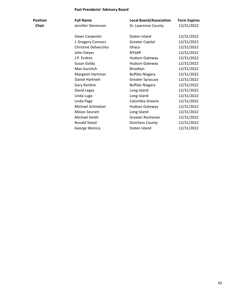### **Past Presidents' Advisory Board**

| Position | <b>Full Name</b>     | <b>Local Board/Association</b> | <b>Term Expires</b> |
|----------|----------------------|--------------------------------|---------------------|
| Chair    | Jennifer Stevenson   | St. Lawrence County            | 12/31/2022          |
|          | Dawn Carpenter       | Staten Island                  | 12/31/2022          |
|          | J. Gregory Connors   | <b>Greater Capital</b>         | 12/31/2022          |
|          | Christine Delvecchio | Ithaca                         | 12/31/2022          |
|          | John Dwyer           | <b>NYSAR</b>                   | 12/31/2022          |
|          | J.P. Endres          | Hudson Gateway                 | 12/31/2022          |
|          | Susan Goldy          | <b>Hudson Gateway</b>          | 12/31/2022          |
|          | Max Gurvitch         | Brooklyn                       | 12/31/2022          |
|          | Margaret Hartman     | <b>Buffalo Niagara</b>         | 12/31/2022          |
|          | Daniel Hartnett      | <b>Greater Syracuse</b>        | 12/31/2022          |
|          | Gary Kenline         | <b>Buffalo Niagara</b>         | 12/31/2022          |
|          | David Legaz          | Long Island                    | 12/31/2022          |
|          | Linda Lugo           | Long Island                    | 12/31/2022          |
|          | Linda Page           | Columbia Greene                | 12/31/2022          |
|          | Michael Schmelzer    | <b>Hudson Gateway</b>          | 12/31/2022          |
|          | Moses Seuram         | Long Island                    | 12/31/2022          |
|          | Michael Smith        | Greater Rochester              | 12/31/2022          |
|          | <b>Ronald Steed</b>  | <b>Dutchess County</b>         | 12/31/2022          |
|          | George Wonica        | Staten Island                  | 12/31/2022          |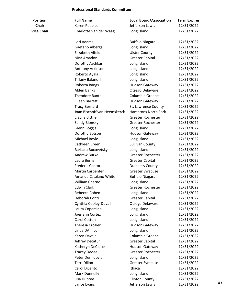### **Professional Standards Committee**

| <b>Position</b>   | <b>Full Name</b>             | <b>Local Board/Association</b> | <b>Term Expires</b> |    |
|-------------------|------------------------------|--------------------------------|---------------------|----|
| <b>Chair</b>      | <b>Karen Peebles</b>         | Jefferson Lewis                | 12/31/2022          |    |
| <b>Vice Chair</b> | Charlotte Van der Waag       | Long Island                    | 12/31/2022          |    |
|                   |                              |                                |                     |    |
|                   | Lori Adams                   | <b>Buffalo Niagara</b>         | 12/31/2022          |    |
|                   | Gaetano Alberga              | Long Island                    | 12/31/2022          |    |
|                   | Elizabeth Alfeld             | <b>Ulster County</b>           | 12/31/2022          |    |
|                   | Nina Amadon                  | <b>Greater Capital</b>         | 12/31/2022          |    |
|                   | Dorothy Aschkar              | Long Island                    | 12/31/2022          |    |
|                   | Anthony Atkinson             | Long Island                    | 12/31/2022          |    |
|                   | Roberto Ayala                | Long Island                    | 12/31/2022          |    |
|                   | <b>Tiffany Balanoff</b>      | Long Island                    | 12/31/2022          |    |
|                   | Roberta Bangs                | Hudson Gateway                 | 12/31/2022          |    |
|                   | <b>Alden Banks</b>           | Otsego Delaware                | 12/31/2022          |    |
|                   | <b>Theodore Banta III</b>    | Columbia Greene                | 12/31/2022          |    |
|                   | <b>Eileen Barrett</b>        | Hudson Gateway                 | 12/31/2022          |    |
|                   | <b>Tracy Bernard</b>         | St. Lawrence County            | 12/31/2022          |    |
|                   | Joan Bischoff van Heemskerck | <b>Hamptons North Fork</b>     | 12/31/2022          |    |
|                   | Elayna Bittner               | <b>Greater Rochester</b>       | 12/31/2022          |    |
|                   | Sandy Blonsky                | <b>Greater Rochester</b>       | 12/31/2022          |    |
|                   | Glenn Boggia                 | Long Island                    | 12/31/2022          |    |
|                   | Dorothy Botsoe               | <b>Hudson Gateway</b>          | 12/31/2022          |    |
|                   | Michael Boyle                | Long Island                    | 12/31/2022          |    |
|                   | Cathleen Breen               | <b>Sullivan County</b>         | 12/31/2022          |    |
|                   | Barbara Bucovetsky           | Long Island                    | 12/31/2022          |    |
|                   | Andrew Burke                 | <b>Greater Rochester</b>       | 12/31/2022          |    |
|                   | Laura Burns                  | <b>Greater Capital</b>         | 12/31/2022          |    |
|                   | <b>Frederic Cantor</b>       | <b>Dutchess County</b>         | 12/31/2022          |    |
|                   | <b>Martin Carpenter</b>      | <b>Greater Syracuse</b>        | 12/31/2022          |    |
|                   | Amanda Catalano White        | <b>Buffalo Niagara</b>         | 12/31/2022          |    |
|                   | William Cherno               | Long Island                    | 12/31/2022          |    |
|                   | <b>Edwin Clark</b>           | <b>Greater Rochester</b>       | 12/31/2022          |    |
|                   | Rebecca Cohen                | Long Island                    | 12/31/2022          |    |
|                   | Deborah Conti                | <b>Greater Capital</b>         | 12/31/2022          |    |
|                   | Cynthia Cooley-Duvall        | Otsego Delaware                | 12/31/2022          |    |
|                   | Laura Copersino              | Long Island                    | 12/31/2022          |    |
|                   | Joesiann Cortez              | Long Island                    | 12/31/2022          |    |
|                   | Carol Cotton                 | Long Island                    | 12/31/2022          |    |
|                   | <b>Theresa Crozier</b>       | Hudson Gateway                 | 12/31/2022          |    |
|                   | Linda DAmico                 | Long Island                    | 12/31/2022          |    |
|                   | Karen Davala                 | Columbia Greene                | 12/31/2022          |    |
|                   | Jeffrey Decatur              | <b>Greater Capital</b>         | 12/31/2022          |    |
|                   | Katheryn DeClerck            | Hudson Gateway                 | 12/31/2022          |    |
|                   | <b>Tracey Dedee</b>          | <b>Greater Rochester</b>       | 12/31/2022          |    |
|                   | Peter Demidovich             | Long Island                    | 12/31/2022          |    |
|                   | Terri Dillon                 | <b>Greater Syracuse</b>        | 12/31/2022          |    |
|                   | Carol DiSanto                | Ithaca                         | 12/31/2022          |    |
|                   | Mark Donnelly                | Long Island                    | 12/31/2022          |    |
|                   | Lisa Dupree                  | <b>Clinton County</b>          | 12/31/2022          |    |
|                   |                              | Jefferson Lewis                |                     | 43 |
|                   | Lance Evans                  |                                | 12/31/2022          |    |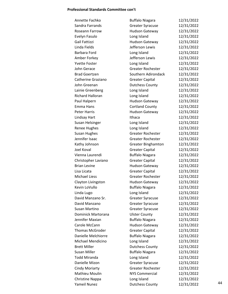#### **Professional Standards Committee con't**

| Annette Fachko          | <b>Buffalo Niagara</b>    | 12/31/2022 |    |
|-------------------------|---------------------------|------------|----|
| Sandra Farrands         | <b>Greater Syracuse</b>   | 12/31/2022 |    |
| Roseann Farrow          | Hudson Gateway            | 12/31/2022 |    |
| Evelyn Fasulo           | Long Island               | 12/31/2022 |    |
| Gail Fattizzi           | Hudson Gateway            | 12/31/2022 |    |
| Linda Fields            | Jefferson Lewis           | 12/31/2022 |    |
| Barbara Ford            | Long Island               | 12/31/2022 |    |
| Amber Forkey            | Jefferson Lewis           | 12/31/2022 |    |
| <b>Yvette Foster</b>    | Long Island               | 12/31/2022 |    |
| John Gerace             | <b>Greater Rochester</b>  | 12/31/2022 |    |
| <b>Brad Goertzen</b>    | Southern Adirondack       | 12/31/2022 |    |
| Catherine Graziano      | <b>Greater Capital</b>    | 12/31/2022 |    |
| John Greenan            | <b>Dutchess County</b>    | 12/31/2022 |    |
| Lainie Greenberg        | Long Island               | 12/31/2022 |    |
| <b>Richard Halloran</b> | Long Island               | 12/31/2022 |    |
| Paul Halpern            | Hudson Gateway            | 12/31/2022 |    |
| Emma Hans               | <b>Cortland County</b>    | 12/31/2022 |    |
| <b>Peter Harris</b>     | <b>Hudson Gateway</b>     | 12/31/2022 |    |
| Lindsay Hart            | Ithaca                    | 12/31/2022 |    |
| Susan Helsinger         | Long Island               | 12/31/2022 |    |
| <b>Renee Hughes</b>     | Long Island               | 12/31/2022 |    |
| <b>Susan Hughes</b>     | <b>Greater Rochester</b>  | 12/31/2022 |    |
| Jennifer Isaac          | <b>Greater Rochester</b>  | 12/31/2022 |    |
| Kathy Johnson           | <b>Greater Binghamton</b> | 12/31/2022 |    |
| Joel Koval              | <b>Greater Capital</b>    | 12/31/2022 |    |
| Vienna Laurendi         | <b>Buffalo Niagara</b>    | 12/31/2022 |    |
| Christopher Laviano     | <b>Greater Capital</b>    | 12/31/2022 |    |
| <b>Brian Levine</b>     | Hudson Gateway            | 12/31/2022 |    |
| Lisa Licata             | <b>Greater Capital</b>    | 12/31/2022 |    |
| <b>Michael Liess</b>    | Greater Rochester         | 12/31/2022 |    |
| Clayton Livingston      | <b>Hudson Gateway</b>     | 12/31/2022 |    |
| Kevin LoVullo           | <b>Buffalo Niagara</b>    | 12/31/2022 |    |
| Linda Lugo              | Long Island               | 12/31/2022 |    |
| David Manzano Sr.       | <b>Greater Syracuse</b>   | 12/31/2022 |    |
| David Manzano           | <b>Greater Syracuse</b>   | 12/31/2022 |    |
| Susan Martino           | <b>Greater Syracuse</b>   | 12/31/2022 |    |
| Dominick Martorana      | <b>Ulster County</b>      | 12/31/2022 |    |
| Jennifer Maxian         | <b>Buffalo Niagara</b>    | 12/31/2022 |    |
| Carole McCann           | <b>Hudson Gateway</b>     | 12/31/2022 |    |
| <b>Thomas McGroder</b>  | <b>Greater Capital</b>    | 12/31/2022 |    |
| Danielle Melchiorre     | <b>Buffalo Niagara</b>    | 12/31/2022 |    |
| Michael Mendicino       | Long Island               | 12/31/2022 |    |
| <b>Brett Miller</b>     | <b>Dutchess County</b>    | 12/31/2022 |    |
| <b>Susan Miller</b>     |                           | 12/31/2022 |    |
| <b>Todd Miranda</b>     | <b>Buffalo Niagara</b>    |            |    |
|                         | Long Island               | 12/31/2022 |    |
| Danielle Mizon          | <b>Greater Syracuse</b>   | 12/31/2022 |    |
| <b>Cindy Moriarty</b>   | <b>Greater Rochester</b>  | 12/31/2022 |    |
| Mathieu Moulin          | <b>NYS Commercial</b>     | 12/31/2022 |    |
| <b>Christine Nappa</b>  | Long Island               | 12/31/2022 | 44 |
| Yameil Nunez            | <b>Dutchess County</b>    | 12/31/2022 |    |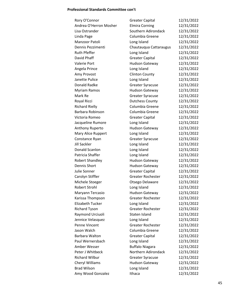#### **Professional Standards Committee con't**

| Rory O'Connor           | <b>Greater Capital</b>   | 12/31/2022 |
|-------------------------|--------------------------|------------|
| Andrea O'Herron Mosher  | <b>Elmira Corning</b>    | 12/31/2022 |
| Lisa Ostrander          | Southern Adirondack      | 12/31/2022 |
| Linda Page              | Columbia Greene          | 12/31/2022 |
| Manzoor Patoli          | Long Island              | 12/31/2022 |
| Dennis Pezzimenti       | Chautauqua Cattaraugus   | 12/31/2022 |
| <b>Ruth Pfeffer</b>     | Long Island              | 12/31/2022 |
| David Phaff             | <b>Greater Capital</b>   | 12/31/2022 |
| <b>Valerie Port</b>     | Hudson Gateway           | 12/31/2022 |
| Angela Prince           | Long Island              | 12/31/2022 |
| Amy Provost             | <b>Clinton County</b>    | 12/31/2022 |
| Janette Pulice          | Long Island              | 12/31/2022 |
| Donald Radke            | <b>Greater Syracuse</b>  | 12/31/2022 |
| <b>Myriam Ramos</b>     | <b>Hudson Gateway</b>    | 12/31/2022 |
| Mark Re                 | <b>Greater Syracuse</b>  | 12/31/2022 |
| Royal Ricci             | <b>Dutchess County</b>   | 12/31/2022 |
| <b>Richard Rielly</b>   | Columbia Greene          | 12/31/2022 |
| Barbara Robinson        | Columbia Greene          | 12/31/2022 |
| Victoria Romeo          | <b>Greater Capital</b>   | 12/31/2022 |
| Jacqueline Rumore       | Long Island              | 12/31/2022 |
| Anthony Ruperto         | Hudson Gateway           | 12/31/2022 |
| Mary Alice Ruppert      | Long Island              | 12/31/2022 |
| Constance Ryan          | <b>Greater Syracuse</b>  | 12/31/2022 |
| <b>Jill Sackler</b>     | Long Island              | 12/31/2022 |
| Donald Scanlon          | Long Island              | 12/31/2022 |
| Patricia Shaffer        | Long Island              | 12/31/2022 |
| <b>Robert Shandley</b>  | <b>Hudson Gateway</b>    | 12/31/2022 |
| Dennis Short            | Hudson Gateway           | 12/31/2022 |
| Julie Sonner            | <b>Greater Capital</b>   | 12/31/2022 |
| Carolyn Stiffler        | <b>Greater Rochester</b> | 12/31/2022 |
| Michele Stoeger         | Otsego Delaware          | 12/31/2022 |
| Robert Strohl           | Long Island              | 12/31/2022 |
| Maryann Tercasio        | Hudson Gateway           | 12/31/2022 |
| Karissa Thompson        | <b>Greater Rochester</b> | 12/31/2022 |
| <b>Elizabeth Tucker</b> | Long Island              | 12/31/2022 |
| <b>Richard Tyson</b>    | Greater Rochester        | 12/31/2022 |
| Raymond Urciuoli        | Staten Island            | 12/31/2022 |
| Jennice Velasquez       | Long Island              | 12/31/2022 |
| Penne Vincent           | <b>Greater Rochester</b> | 12/31/2022 |
| Jason Walch             | Columbia Greene          | 12/31/2022 |
| Barbara Walton          | <b>Greater Capital</b>   | 12/31/2022 |
| Paul Wernersbach        | Long Island              | 12/31/2022 |
| Amber Wesser            | <b>Buffalo Niagara</b>   | 12/31/2022 |
| Peter J Whitbeck        | Northern Adirondack      | 12/31/2022 |
| <b>Richard Wilbur</b>   | <b>Greater Syracuse</b>  | 12/31/2022 |
| Cheryl Williams         | Hudson Gateway           | 12/31/2022 |
| <b>Brad Wilson</b>      | Long Island              | 12/31/2022 |
| Amy Wood Gonzalez       | Ithaca                   | 12/31/2022 |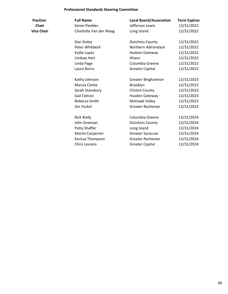### **Professional Standards Steering Committee**

| <b>Position</b>   | <b>Full Name</b>        | <b>Local Board/Association</b> | <b>Term Expires</b> |
|-------------------|-------------------------|--------------------------------|---------------------|
| <b>Chair</b>      | <b>Karen Peebles</b>    | Jefferson Lewis                | 12/31/2022          |
| <b>Vice Chair</b> | Charlotte Van der Waag  | Long Island                    | 12/31/2022          |
|                   | Dan Staley              | <b>Dutchess County</b>         | 12/31/2022          |
|                   | Peter Whitbeck          | Northern Adirondack            | 12/31/2022          |
|                   | Eydie Lopez             | <b>Hudson Gateway</b>          | 12/31/2022          |
|                   | Lindsay Hart            | Ithaca                         | 12/31/2022          |
|                   | Linda Page              | Columbia Greene                | 12/31/2022          |
|                   | Laura Burns             | <b>Greater Capital</b>         | 12/31/2022          |
|                   | Kathy Johnson           | <b>Greater Binghamton</b>      | 12/31/2023          |
|                   | Marcia Clarke           | Brooklyn                       | 12/31/2023          |
|                   | Sarah Stansbury         | <b>Clinton County</b>          | 12/31/2023          |
|                   | Gail Fattizzi           | Husdon Gateway                 | 12/31/2023          |
|                   | Rebecca Smith           | Mohawk Valley                  | 12/31/2023          |
|                   | Jim Yockel              | <b>Greater Rochester</b>       | 12/31/2023          |
|                   | <b>Rick Rielly</b>      | Columbia Greene                | 12/31/2024          |
|                   | John Greenan            | <b>Dutchess County</b>         | 12/31/2024          |
|                   | Patty Shaffer           | Long Island                    | 12/31/2024          |
|                   | <b>Martin Carpenter</b> | <b>Greater Syracuse</b>        | 12/31/2024          |
|                   | Karissa Thompson        | Greater Rochester              | 12/31/2024          |
|                   | Chris Laviano           | <b>Greater Capital</b>         | 12/31/2024          |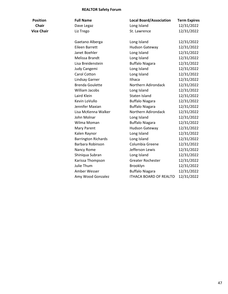#### **REALTOR Safety Forum**

**Position Full Name Local Board/Association Term Expires Chair** Dave Legaz **Long Island** 12/31/2022 **Vice Chair** Liz Trego St. Lawrence 12/31/2022 Gaetano Alberga Long Island 12/31/2022 Eileen Barrett Hudson Gateway 12/31/2022 Janet Boehler Long Island 12/31/2022 Melissa Brandt Long Island 12/31/2022 Lisa Breidenstein Buffalo Niagara 12/31/2022 Judy Cangemi Long Island 12/31/2022 Carol Cotton Long Island 12/31/2022 Lindsay Garner **Ithaca** 12/31/2022 Brenda Goulette Northern Adirondack 12/31/2022 William Jacobs Long Island 12/31/2022 Laird Klein **Staten Island** 12/31/2022 Kevin LoVullo Buffalo Niagara 12/31/2022 Jennifer Maxian Buffalo Niagara 12/31/2022 Lisa McKenna Walker Northern Adirondack 12/31/2022 John Molnar **Long Island** 12/31/2022 Wilma Moman Buffalo Niagara 12/31/2022 Mary Parent **Hudson Gateway** 12/31/2022 Kalen Raynor **Long Island** 12/31/2022 Barrington Richards Long Island 12/31/2022 Barbara Robinson Columbia Greene 12/31/2022 Nancy Rome Jefferson Lewis 12/31/2022 Shiniqua Subran Long Island 12/31/2022 Karissa Thompson Greater Rochester 12/31/2022 Julie Thum Brooklyn Brooklyn 12/31/2022 Amber Wesser **Buffalo Niagara** 12/31/2022 Amy Wood Gonzalez ITHACA BOARD OF REALTO 12/31/2022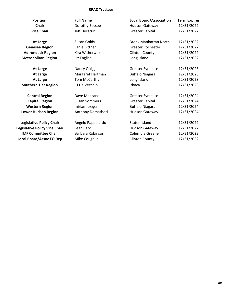### **RPAC Trustees**

| <b>Position</b>                                                                                                                   | <b>Full Name</b>                                                    | <b>Local Board/Association</b>                                              | <b>Term Expires</b>                                  |
|-----------------------------------------------------------------------------------------------------------------------------------|---------------------------------------------------------------------|-----------------------------------------------------------------------------|------------------------------------------------------|
| <b>Chair</b>                                                                                                                      | Dorothy Botsoe                                                      | <b>Hudson Gateway</b>                                                       | 12/31/2022                                           |
| <b>Vice Chair</b>                                                                                                                 | Jeff Decatur                                                        | <b>Greater Capital</b>                                                      | 12/31/2022                                           |
| <b>At Large</b>                                                                                                                   | Susan Goldy                                                         | <b>Bronx Manhattan North</b>                                                | 12/31/2022                                           |
| <b>Genesee Region</b>                                                                                                             | Lanie Bittner                                                       | <b>Greater Rochester</b>                                                    | 12/31/2022                                           |
| <b>Adirondack Region</b>                                                                                                          | Kira Witherwax                                                      | <b>Clinton County</b>                                                       | 12/31/2022                                           |
| <b>Metropolitan Region</b>                                                                                                        | Liz English                                                         | Long Island                                                                 | 12/31/2022                                           |
| <b>At Large</b>                                                                                                                   | <b>Nancy Quigg</b>                                                  | <b>Greater Syracuse</b>                                                     | 12/31/2023                                           |
| <b>At Large</b>                                                                                                                   | Margaret Hartman                                                    | <b>Buffalo Niagara</b>                                                      | 12/31/2023                                           |
| <b>At Large</b>                                                                                                                   | Tom McCarthy                                                        | Long Island                                                                 | 12/31/2023                                           |
| <b>Southern Tier Region</b>                                                                                                       | CJ DelVecchio                                                       | Ithaca                                                                      | 12/31/2023                                           |
| <b>Central Region</b>                                                                                                             | Dave Manzano                                                        | <b>Greater Syracuse</b>                                                     | 12/31/2024                                           |
| <b>Capital Region</b>                                                                                                             | <b>Susan Sommers</b>                                                | <b>Greater Capital</b>                                                      | 12/31/2024                                           |
| <b>Western Region</b>                                                                                                             | miriam treger                                                       | <b>Buffalo Niagara</b>                                                      | 12/31/2024                                           |
| <b>Lower Hudson Region</b>                                                                                                        | Anthony Domathoti                                                   | Hudson Gateway                                                              | 12/31/2024                                           |
| <b>Legislative Policy Chair</b><br>Legislative Policy Vice Chair<br><b>IMF Committee Chair</b><br><b>Local Board/Assoc EO Rep</b> | Angelo Pappalardo<br>Leah Caro<br>Barbara Robinson<br>Mike Coughlin | Staten Island<br>Hudson Gateway<br>Columbia Greene<br><b>Clinton County</b> | 12/31/2022<br>12/31/2022<br>12/31/2022<br>12/31/2022 |
|                                                                                                                                   |                                                                     |                                                                             |                                                      |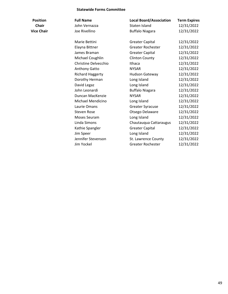#### **Statewide Forms Committee**

| <b>Position</b>   | <b>Full Name</b>        | <b>Local Board/Association</b> | <b>Term Expires</b> |
|-------------------|-------------------------|--------------------------------|---------------------|
| Chair             | John Vernazza           | Staten Island                  | 12/31/2022          |
| <b>Vice Chair</b> | Joe Rivellino           | <b>Buffalo Niagara</b>         | 12/31/2022          |
|                   | Marie Bettini           | <b>Greater Capital</b>         | 12/31/2022          |
|                   | Elayna Bittner          | <b>Greater Rochester</b>       | 12/31/2022          |
|                   | James Braman            | <b>Greater Capital</b>         | 12/31/2022          |
|                   | Michael Coughlin        | <b>Clinton County</b>          | 12/31/2022          |
|                   | Christine Delvecchio    | Ithaca                         | 12/31/2022          |
|                   | <b>Anthony Gatto</b>    | <b>NYSAR</b>                   | 12/31/2022          |
|                   | <b>Richard Haggerty</b> | <b>Hudson Gateway</b>          | 12/31/2022          |
|                   | Dorothy Herman          | Long Island                    | 12/31/2022          |
|                   | David Legaz             | Long Island                    | 12/31/2022          |
|                   | John Leonardi           | <b>Buffalo Niagara</b>         | 12/31/2022          |
|                   | Duncan MacKenzie        | <b>NYSAR</b>                   | 12/31/2022          |
|                   | Michael Mendicino       | Long Island                    | 12/31/2022          |
|                   | Laurie Omans            | <b>Greater Syracuse</b>        | 12/31/2022          |
|                   | <b>Steven Rose</b>      | Otsego Delaware                | 12/31/2022          |
|                   | Moses Seuram            | Long Island                    | 12/31/2022          |
|                   | Linda Simons            | Chautauqua Cattaraugus         | 12/31/2022          |
|                   | Kathie Spangler         | <b>Greater Capital</b>         | 12/31/2022          |
|                   | Jim Speer               | Long Island                    | 12/31/2022          |
|                   | Jennifer Stevenson      | St. Lawrence County            | 12/31/2022          |
|                   | Jim Yockel              | <b>Greater Rochester</b>       | 12/31/2022          |